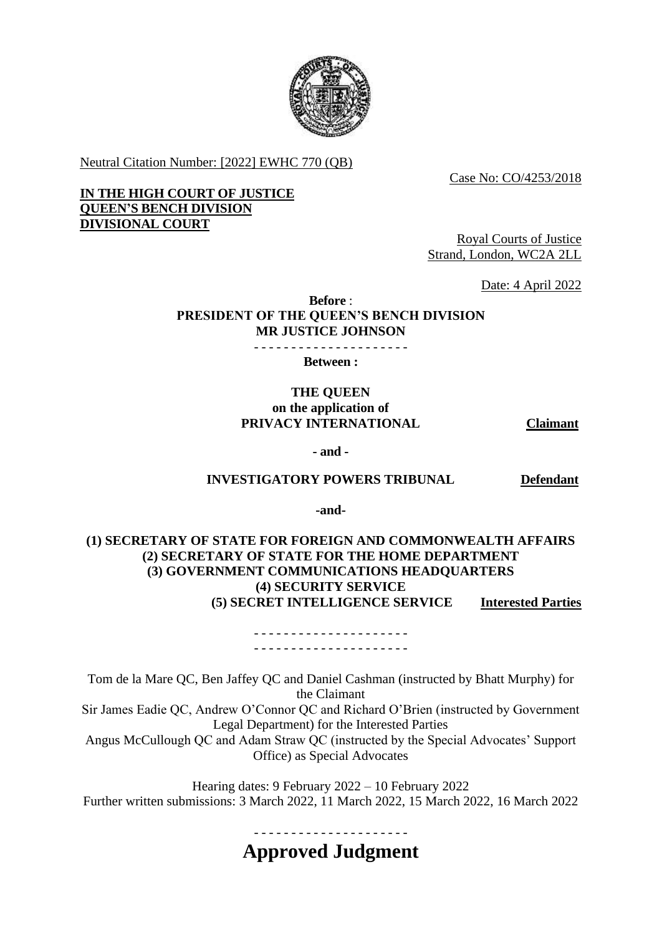

Neutral Citation Number: [2022] EWHC 770 (QB)

Case No: CO/4253/2018

 **IN THE HIGH COURT OF JUSTICE QUEEN'S BENCH DIVISION DIVISIONAL COURT** 

Royal Courts of Justice Strand, London, WC2A 2LL

Date: 4 April 2022

**Before** : **PRESIDENT OF THE QUEEN'S BENCH DIVISION MR JUSTICE JOHNSON**

- - - - - - - - - - - - - - - - - - - - -

**Between :** 

# **THE QUEEN on the application of PRIVACY INTERNATIONAL Claimant**

**- and -**

#### **INVESTIGATORY POWERS TRIBUNAL Defendant**

**-and-**

**(1) SECRETARY OF STATE FOR FOREIGN AND COMMONWEALTH AFFAIRS (2) SECRETARY OF STATE FOR THE HOME DEPARTMENT (3) GOVERNMENT COMMUNICATIONS HEADQUARTERS (4) SECURITY SERVICE (5) SECRET INTELLIGENCE SERVICE Interested Parties** 

> - - - - - - - - - - - - - - - - - - - - - - - - - - - - - - - - - - - - - - - - - -

Tom de la Mare QC, Ben Jaffey QC and Daniel Cashman (instructed by Bhatt Murphy) for the Claimant Sir James Eadie QC, Andrew O'Connor QC and Richard O'Brien (instructed by Government

Legal Department) for the Interested Parties

Angus McCullough QC and Adam Straw QC (instructed by the Special Advocates' Support Office) as Special Advocates

Hearing dates: 9 February 2022 – 10 February 2022 Further written submissions: 3 March 2022, 11 March 2022, 15 March 2022, 16 March 2022

- - - - - - - - - - - - - - - - - - - - -

**Approved Judgment**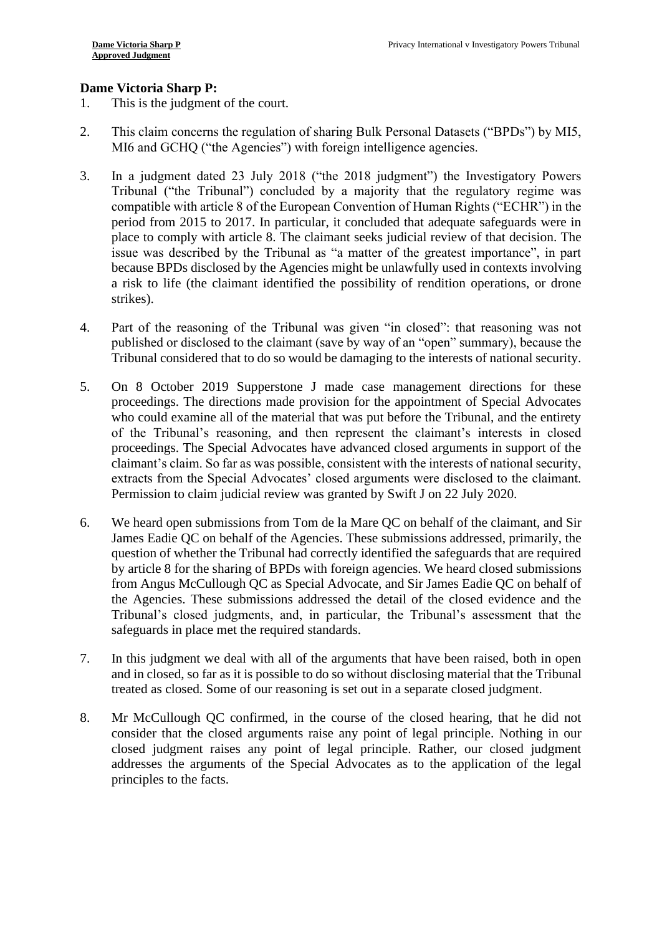# **Dame Victoria Sharp P:**

- 1. This is the judgment of the court.
- 2. This claim concerns the regulation of sharing Bulk Personal Datasets ("BPDs") by MI5, MI6 and GCHQ ("the Agencies") with foreign intelligence agencies.
- Tribunal ("the Tribunal") concluded by a majority that the regulatory regime was period from 2015 to 2017. In particular, it concluded that adequate safeguards were in issue was described by the Tribunal as "a matter of the greatest importance", in part a risk to life (the claimant identified the possibility of rendition operations, or drone 3. In a judgment dated 23 July 2018 ("the 2018 judgment") the Investigatory Powers compatible with article 8 of the European Convention of Human Rights ("ECHR") in the place to comply with article 8. The claimant seeks judicial review of that decision. The because BPDs disclosed by the Agencies might be unlawfully used in contexts involving strikes).
- published or disclosed to the claimant (save by way of an "open" summary), because the 4. Part of the reasoning of the Tribunal was given "in closed": that reasoning was not Tribunal considered that to do so would be damaging to the interests of national security.
- 5. On 8 October 2019 Supperstone J made case management directions for these proceedings. The directions made provision for the appointment of Special Advocates who could examine all of the material that was put before the Tribunal, and the entirety proceedings. The Special Advocates have advanced closed arguments in support of the extracts from the Special Advocates' closed arguments were disclosed to the claimant. of the Tribunal's reasoning, and then represent the claimant's interests in closed claimant's claim. So far as was possible, consistent with the interests of national security, Permission to claim judicial review was granted by Swift J on 22 July 2020.
- question of whether the Tribunal had correctly identified the safeguards that are required by article 8 for the sharing of BPDs with foreign agencies. We heard closed submissions the Agencies. These submissions addressed the detail of the closed evidence and the 6. We heard open submissions from Tom de la Mare QC on behalf of the claimant, and Sir James Eadie QC on behalf of the Agencies. These submissions addressed, primarily, the from Angus McCullough QC as Special Advocate, and Sir James Eadie QC on behalf of Tribunal's closed judgments, and, in particular, the Tribunal's assessment that the safeguards in place met the required standards.
- 7. In this judgment we deal with all of the arguments that have been raised, both in open and in closed, so far as it is possible to do so without disclosing material that the Tribunal treated as closed. Some of our reasoning is set out in a separate closed judgment.
- closed judgment raises any point of legal principle. Rather, our closed judgment 8. Mr McCullough QC confirmed, in the course of the closed hearing, that he did not consider that the closed arguments raise any point of legal principle. Nothing in our addresses the arguments of the Special Advocates as to the application of the legal principles to the facts.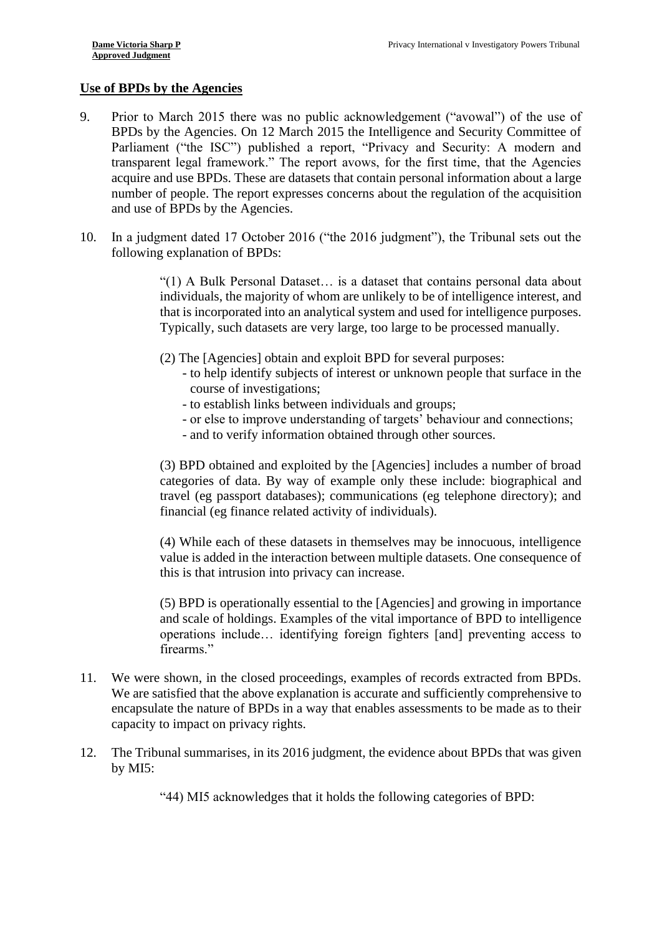#### **Use of BPDs by the Agencies**

- <span id="page-2-0"></span>9. Prior to March 2015 there was no public acknowledgement ("avowal") of the use of BPDs by the Agencies. On 12 March 2015 the Intelligence and Security Committee of Parliament ("the ISC") published a report, "Privacy and Security: A modern and transparent legal framework." The report avows, for the first time, that the Agencies acquire and use BPDs. These are datasets that contain personal information about a large number of people. The report expresses concerns about the regulation of the acquisition and use of BPDs by the Agencies.
- 10. In a judgment dated 17 October 2016 ("the 2016 judgment"), the Tribunal sets out the following explanation of BPDs:

 that is incorporated into an analytical system and used for intelligence purposes. "(1) A Bulk Personal Dataset… is a dataset that contains personal data about individuals, the majority of whom are unlikely to be of intelligence interest, and Typically, such datasets are very large, too large to be processed manually.

- (2) The [Agencies] obtain and exploit BPD for several purposes:
	- to help identify subjects of interest or unknown people that surface in the course of investigations;
	- to establish links between individuals and groups;
	- or else to improve understanding of targets' behaviour and connections;
	- and to verify information obtained through other sources.

 (3) BPD obtained and exploited by the [Agencies] includes a number of broad categories of data. By way of example only these include: biographical and travel (eg passport databases); communications (eg telephone directory); and financial (eg finance related activity of individuals).

 (4) While each of these datasets in themselves may be innocuous, intelligence value is added in the interaction between multiple datasets. One consequence of this is that intrusion into privacy can increase.

 operations include… identifying foreign fighters [and] preventing access to (5) BPD is operationally essential to the [Agencies] and growing in importance and scale of holdings. Examples of the vital importance of BPD to intelligence firearms."

- 11. We were shown, in the closed proceedings, examples of records extracted from BPDs. We are satisfied that the above explanation is accurate and sufficiently comprehensive to encapsulate the nature of BPDs in a way that enables assessments to be made as to their capacity to impact on privacy rights.
- 12. The Tribunal summarises, in its 2016 judgment, the evidence about BPDs that was given by MI5:

"44) MI5 acknowledges that it holds the following categories of BPD: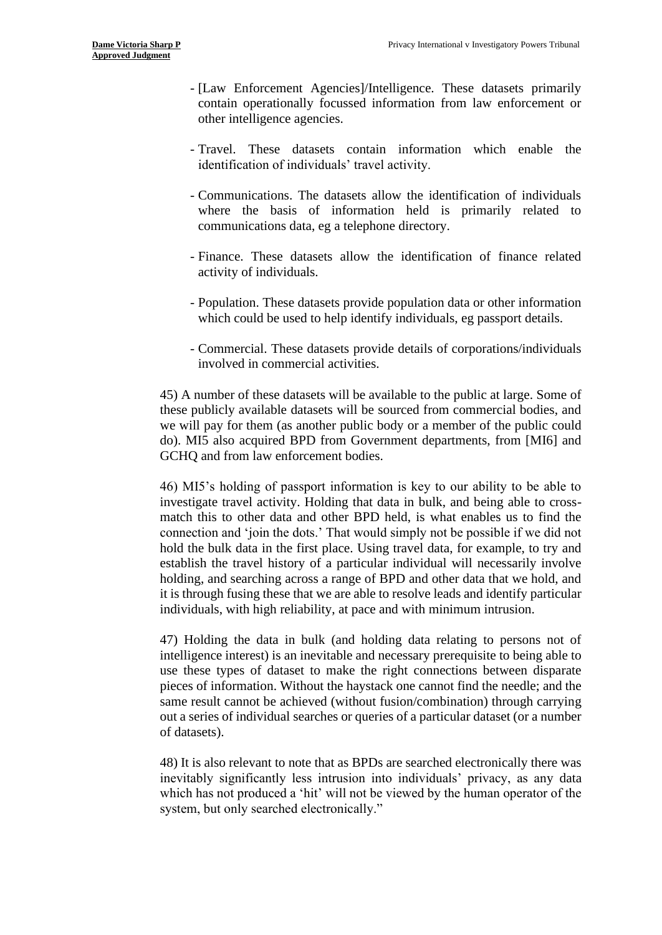- contain operationally focussed information from law enforcement or - [Law Enforcement Agencies]/Intelligence. These datasets primarily other intelligence agencies.
- Travel. These datasets contain information which enable the identification of individuals' travel activity.
- where the basis of information held is primarily related to - Communications. The datasets allow the identification of individuals communications data, eg a telephone directory.
- - Finance. These datasets allow the identification of finance related activity of individuals.
- Population. These datasets provide population data or other information which could be used to help identify individuals, eg passport details.
- Commercial. These datasets provide details of corporations/individuals involved in commercial activities.

 these publicly available datasets will be sourced from commercial bodies, and we will pay for them (as another public body or a member of the public could 45) A number of these datasets will be available to the public at large. Some of do). MI5 also acquired BPD from Government departments, from [MI6] and GCHQ and from law enforcement bodies.

 match this to other data and other BPD held, is what enables us to find the holding, and searching across a range of BPD and other data that we hold, and 46) MI5's holding of passport information is key to our ability to be able to investigate travel activity. Holding that data in bulk, and being able to crossconnection and 'join the dots.' That would simply not be possible if we did not hold the bulk data in the first place. Using travel data, for example, to try and establish the travel history of a particular individual will necessarily involve it is through fusing these that we are able to resolve leads and identify particular individuals, with high reliability, at pace and with minimum intrusion.

 47) Holding the data in bulk (and holding data relating to persons not of use these types of dataset to make the right connections between disparate same result cannot be achieved (without fusion/combination) through carrying out a series of individual searches or queries of a particular dataset (or a number intelligence interest) is an inevitable and necessary prerequisite to being able to pieces of information. Without the haystack one cannot find the needle; and the of datasets).

48) It is also relevant to note that as BPDs are searched electronically there was inevitably significantly less intrusion into individuals' privacy, as any data which has not produced a 'hit' will not be viewed by the human operator of the system, but only searched electronically."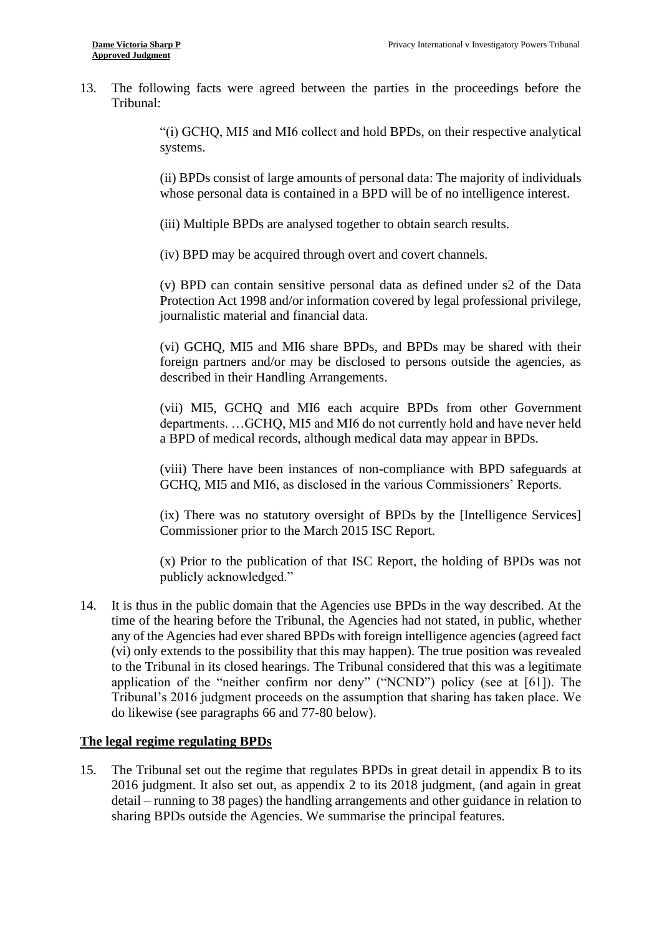13. The following facts were agreed between the parties in the proceedings before the Tribunal:

> "(i) GCHQ, MI5 and MI6 collect and hold BPDs, on their respective analytical systems.

> (ii) BPDs consist of large amounts of personal data: The majority of individuals whose personal data is contained in a BPD will be of no intelligence interest.

(iii) Multiple BPDs are analysed together to obtain search results.

(iv) BPD may be acquired through overt and covert channels.

(v) BPD can contain sensitive personal data as defined under s2 of the Data Protection Act 1998 and/or information covered by legal professional privilege, journalistic material and financial data.

 (vi) GCHQ, MI5 and MI6 share BPDs, and BPDs may be shared with their foreign partners and/or may be disclosed to persons outside the agencies, as described in their Handling Arrangements.

 (vii) MI5, GCHQ and MI6 each acquire BPDs from other Government departments. …GCHQ, MI5 and MI6 do not currently hold and have never held a BPD of medical records, although medical data may appear in BPDs.

 (viii) There have been instances of non-compliance with BPD safeguards at GCHQ, MI5 and MI6, as disclosed in the various Commissioners' Reports.

 (ix) There was no statutory oversight of BPDs by the [Intelligence Services] Commissioner prior to the March 2015 ISC Report.

 (x) Prior to the publication of that ISC Report, the holding of BPDs was not publicly acknowledged."

 any of the Agencies had ever shared BPDs with foreign intelligence agencies (agreed fact (vi) only extends to the possibility that this may happen). The true position was revealed to the Tribunal in its closed hearings. The Tribunal considered that this was a legitimate Tribunal's 2016 judgment proceeds on the assumption that sharing has taken place. We 14. It is thus in the public domain that the Agencies use BPDs in the way described. At the time of the hearing before the Tribunal, the Agencies had not stated, in public, whether application of the "neither confirm nor deny" ("NCND") policy (see at [61]). The do likewise (see paragraphs 66 and 77-80 below).

#### **The legal regime regulating BPDs**

15. The Tribunal set out the regime that regulates BPDs in great detail in appendix B to its detail – running to 38 pages) the handling arrangements and other guidance in relation to 2016 judgment. It also set out, as appendix 2 to its 2018 judgment, (and again in great sharing BPDs outside the Agencies. We summarise the principal features.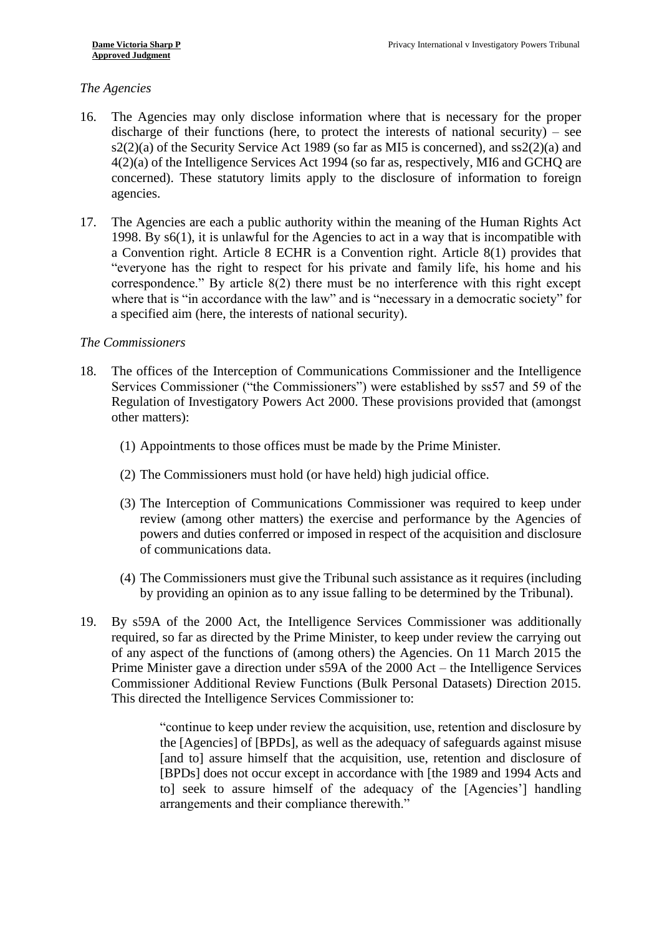### *The Agencies*

- <span id="page-5-0"></span> discharge of their functions (here, to protect the interests of national security) – see 4(2)(a) of the Intelligence Services Act 1994 (so far as, respectively, MI6 and GCHQ are 16. The Agencies may only disclose information where that is necessary for the proper s2(2)(a) of the Security Service Act 1989 (so far as MI5 is concerned), and ss2(2)(a) and concerned). These statutory limits apply to the disclosure of information to foreign agencies.
- 17. The Agencies are each a public authority within the meaning of the Human Rights Act 1998. By s6(1), it is unlawful for the Agencies to act in a way that is incompatible with a Convention right. Article 8 ECHR is a Convention right. Article 8(1) provides that correspondence." By article 8(2) there must be no interference with this right except where that is "in accordance with the law" and is "necessary in a democratic society" for "everyone has the right to respect for his private and family life, his home and his a specified aim (here, the interests of national security).

#### *The Commissioners*

- Regulation of Investigatory Powers Act 2000. These provisions provided that (amongst 18. The offices of the Interception of Communications Commissioner and the Intelligence Services Commissioner ("the Commissioners") were established by ss57 and 59 of the other matters):
	- (1) Appointments to those offices must be made by the Prime Minister.
	- (2) The Commissioners must hold (or have held) high judicial office.
	- review (among other matters) the exercise and performance by the Agencies of (3) The Interception of Communications Commissioner was required to keep under powers and duties conferred or imposed in respect of the acquisition and disclosure of communications data.
	- (4) The Commissioners must give the Tribunal such assistance as it requires (including by providing an opinion as to any issue falling to be determined by the Tribunal).
- 19. By s59A of the 2000 Act, the Intelligence Services Commissioner was additionally Prime Minister gave a direction under s59A of the 2000 Act – the Intelligence Services required, so far as directed by the Prime Minister, to keep under review the carrying out of any aspect of the functions of (among others) the Agencies. On 11 March 2015 the Commissioner Additional Review Functions (Bulk Personal Datasets) Direction 2015. This directed the Intelligence Services Commissioner to:

 "continue to keep under review the acquisition, use, retention and disclosure by the [Agencies] of [BPDs], as well as the adequacy of safeguards against misuse [and to] assure himself that the acquisition, use, retention and disclosure of [BPDs] does not occur except in accordance with [the 1989 and 1994 Acts and to] seek to assure himself of the adequacy of the [Agencies'] handling arrangements and their compliance therewith."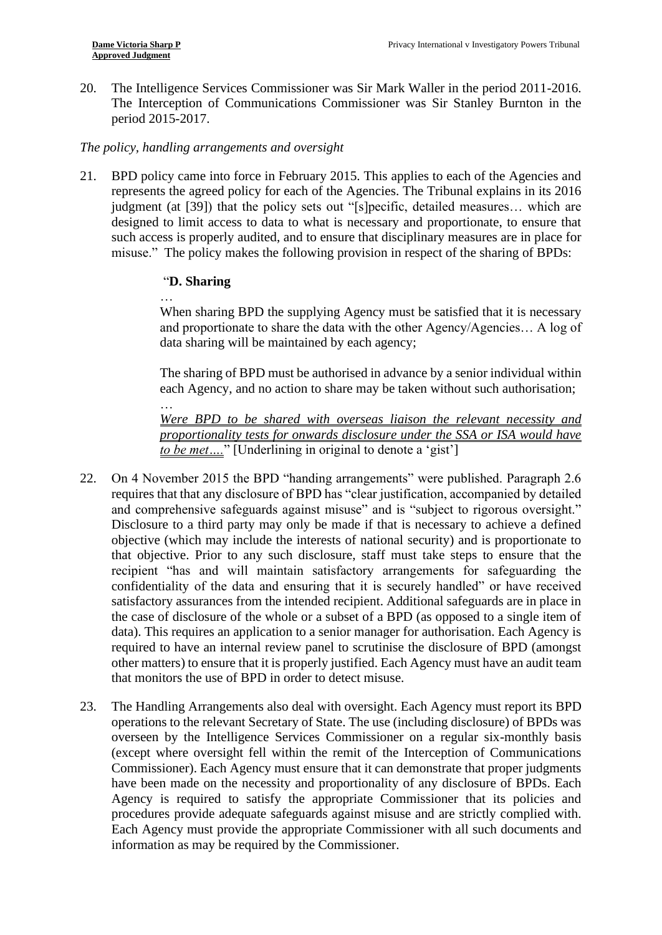20. The Intelligence Services Commissioner was Sir Mark Waller in the period 2011-2016. The Interception of Communications Commissioner was Sir Stanley Burnton in the period 2015-2017.

#### *The policy, handling arrangements and oversight*

<span id="page-6-0"></span> represents the agreed policy for each of the Agencies. The Tribunal explains in its 2016 designed to limit access to data to what is necessary and proportionate, to ensure that such access is properly audited, and to ensure that disciplinary measures are in place for misuse." The policy makes the following provision in respect of the sharing of BPDs: 21. BPD policy came into force in February 2015. This applies to each of the Agencies and judgment (at [39]) that the policy sets out "[s]pecific, detailed measures… which are

### "**D. Sharing**

…

 When sharing BPD the supplying Agency must be satisfied that it is necessary … and proportionate to share the data with the other Agency/Agencies… A log of data sharing will be maintained by each agency;

 The sharing of BPD must be authorised in advance by a senior individual within each Agency, and no action to share may be taken without such authorisation;

 *Were BPD to be shared with overseas liaison the relevant necessity and proportionality tests for onwards disclosure under the SSA or ISA would have to be met….*" [Underlining in original to denote a 'gist']

- <span id="page-6-1"></span>22. On 4 November 2015 the BPD "handing arrangements" were published. Paragraph 2.6 requires that that any disclosure of BPD has "clear justification, accompanied by detailed and comprehensive safeguards against misuse" and is "subject to rigorous oversight." Disclosure to a third party may only be made if that is necessary to achieve a defined objective (which may include the interests of national security) and is proportionate to that objective. Prior to any such disclosure, staff must take steps to ensure that the confidentiality of the data and ensuring that it is securely handled" or have received satisfactory assurances from the intended recipient. Additional safeguards are in place in the case of disclosure of the whole or a subset of a BPD (as opposed to a single item of other matters) to ensure that it is properly justified. Each Agency must have an audit team recipient "has and will maintain satisfactory arrangements for safeguarding the data). This requires an application to a senior manager for authorisation. Each Agency is required to have an internal review panel to scrutinise the disclosure of BPD (amongst that monitors the use of BPD in order to detect misuse.
- operations to the relevant Secretary of State. The use (including disclosure) of BPDs was overseen by the Intelligence Services Commissioner on a regular six-monthly basis Commissioner). Each Agency must ensure that it can demonstrate that proper judgments have been made on the necessity and proportionality of any disclosure of BPDs. Each Each Agency must provide the appropriate Commissioner with all such documents and 23. The Handling Arrangements also deal with oversight. Each Agency must report its BPD (except where oversight fell within the remit of the Interception of Communications Agency is required to satisfy the appropriate Commissioner that its policies and procedures provide adequate safeguards against misuse and are strictly complied with. information as may be required by the Commissioner.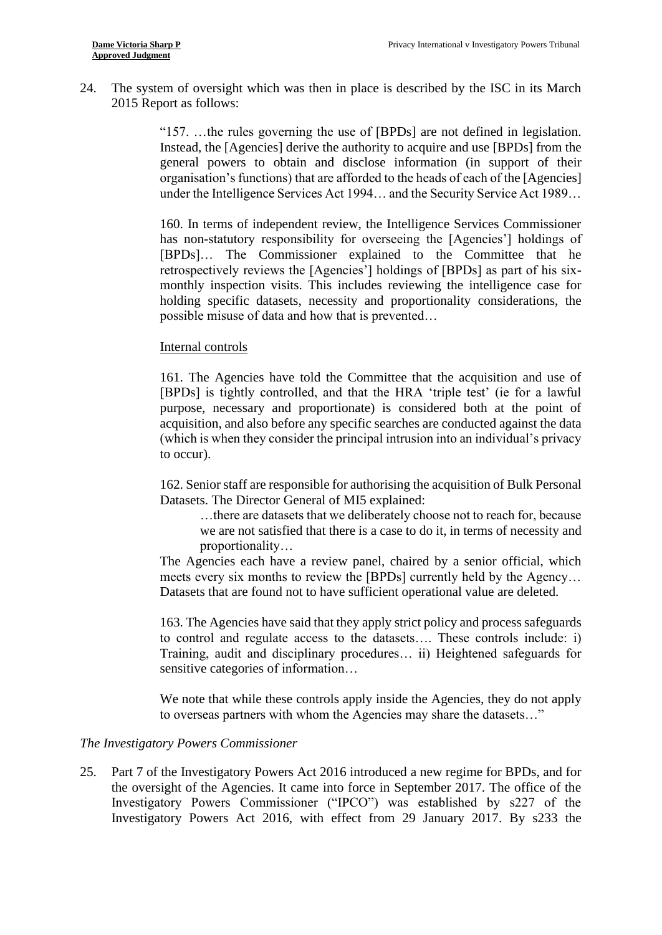24. The system of oversight which was then in place is described by the ISC in its March 2015 Report as follows:

> "157. …the rules governing the use of [BPDs] are not defined in legislation. Instead, the [Agencies] derive the authority to acquire and use [BPDs] from the organisation's functions) that are afforded to the heads of each of the [Agencies] under the Intelligence Services Act 1994… and the Security Service Act 1989… general powers to obtain and disclose information (in support of their

> [BPDs]… The Commissioner explained to the Committee that he retrospectively reviews the [Agencies'] holdings of [BPDs] as part of his six- monthly inspection visits. This includes reviewing the intelligence case for 160. In terms of independent review, the Intelligence Services Commissioner has non-statutory responsibility for overseeing the [Agencies'] holdings of holding specific datasets, necessity and proportionality considerations, the possible misuse of data and how that is prevented…

#### Internal controls

 [BPDs] is tightly controlled, and that the HRA 'triple test' (ie for a lawful purpose, necessary and proportionate) is considered both at the point of acquisition, and also before any specific searches are conducted against the data 161. The Agencies have told the Committee that the acquisition and use of (which is when they consider the principal intrusion into an individual's privacy to occur).

 162. Senior staff are responsible for authorising the acquisition of Bulk Personal Datasets. The Director General of MI5 explained:

 …there are datasets that we deliberately choose not to reach for, because we are not satisfied that there is a case to do it, in terms of necessity and proportionality…

 The Agencies each have a review panel, chaired by a senior official, which meets every six months to review the [BPDs] currently held by the Agency… Datasets that are found not to have sufficient operational value are deleted.

 163. The Agencies have said that they apply strict policy and process safeguards Training, audit and disciplinary procedures… ii) Heightened safeguards for to control and regulate access to the datasets…. These controls include: i) sensitive categories of information…

We note that while these controls apply inside the Agencies, they do not apply to overseas partners with whom the Agencies may share the datasets…"

#### *The Investigatory Powers Commissioner*

25. Part 7 of the Investigatory Powers Act 2016 introduced a new regime for BPDs, and for the oversight of the Agencies. It came into force in September 2017. The office of the Investigatory Powers Commissioner ("IPCO") was established by s227 of the Investigatory Powers Act 2016, with effect from 29 January 2017. By s233 the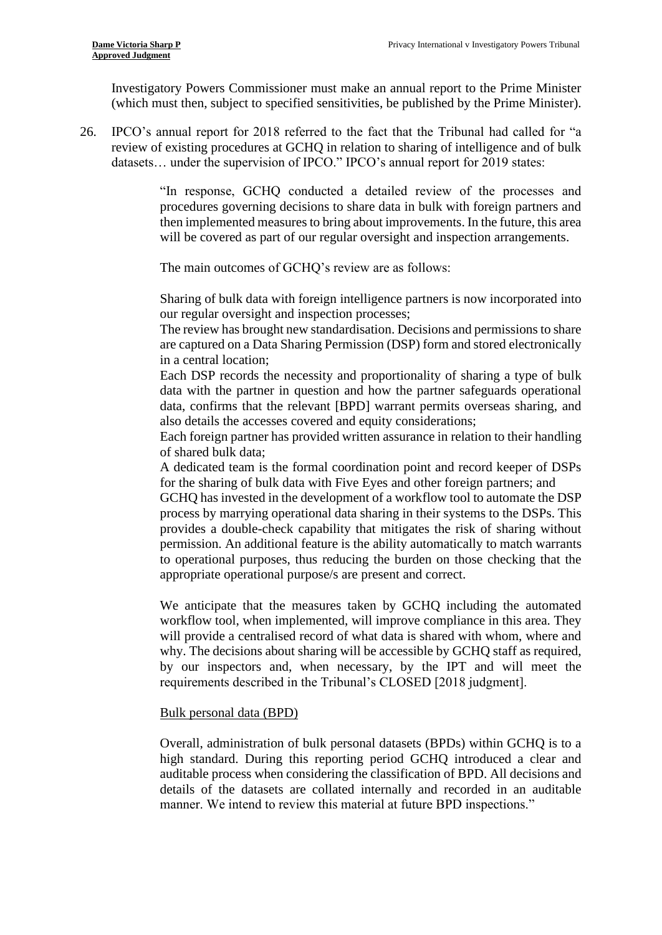Investigatory Powers Commissioner must make an annual report to the Prime Minister (which must then, subject to specified sensitivities, be published by the Prime Minister).

<span id="page-8-0"></span>26. IPCO's annual report for 2018 referred to the fact that the Tribunal had called for "a review of existing procedures at GCHQ in relation to sharing of intelligence and of bulk datasets… under the supervision of IPCO." IPCO's annual report for 2019 states:

> procedures governing decisions to share data in bulk with foreign partners and "In response, GCHQ conducted a detailed review of the processes and then implemented measures to bring about improvements. In the future, this area will be covered as part of our regular oversight and inspection arrangements.

The main outcomes of GCHQ's review are as follows:

 Sharing of bulk data with foreign intelligence partners is now incorporated into our regular oversight and inspection processes;

 The review has brought new standardisation. Decisions and permissions to share are captured on a Data Sharing Permission (DSP) form and stored electronically in a central location;

Each DSP records the necessity and proportionality of sharing a type of bulk data with the partner in question and how the partner safeguards operational data, confirms that the relevant [BPD] warrant permits overseas sharing, and also details the accesses covered and equity considerations;

 Each foreign partner has provided written assurance in relation to their handling of shared bulk data;

A dedicated team is the formal coordination point and record keeper of DSPs for the sharing of bulk data with Five Eyes and other foreign partners; and

 process by marrying operational data sharing in their systems to the DSPs. This permission. An additional feature is the ability automatically to match warrants GCHQ has invested in the development of a workflow tool to automate the DSP provides a double-check capability that mitigates the risk of sharing without to operational purposes, thus reducing the burden on those checking that the appropriate operational purpose/s are present and correct.

 We anticipate that the measures taken by GCHQ including the automated workflow tool, when implemented, will improve compliance in this area. They will provide a centralised record of what data is shared with whom, where and why. The decisions about sharing will be accessible by GCHQ staff as required, by our inspectors and, when necessary, by the IPT and will meet the requirements described in the Tribunal's CLOSED [2018 judgment].

## Bulk personal data (BPD)

 Overall, administration of bulk personal datasets (BPDs) within GCHQ is to a high standard. During this reporting period GCHQ introduced a clear and auditable process when considering the classification of BPD. All decisions and details of the datasets are collated internally and recorded in an auditable manner. We intend to review this material at future BPD inspections."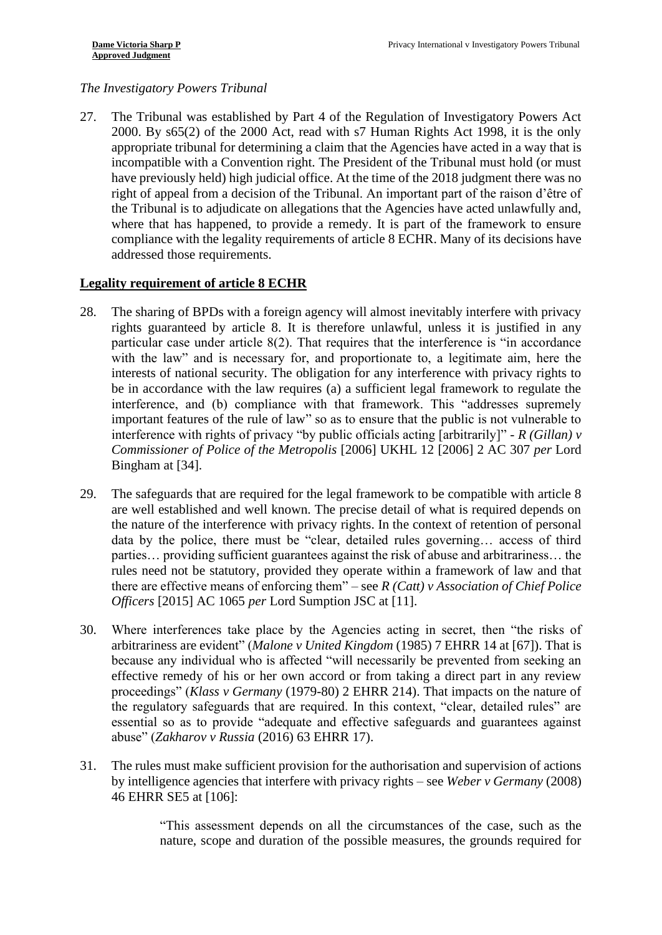# *The Investigatory Powers Tribunal*

<span id="page-9-1"></span>27. The Tribunal was established by Part 4 of the Regulation of Investigatory Powers Act 2000. By s65(2) of the 2000 Act, read with s7 Human Rights Act 1998, it is the only appropriate tribunal for determining a claim that the Agencies have acted in a way that is incompatible with a Convention right. The President of the Tribunal must hold (or must have previously held) high judicial office. At the time of the 2018 judgment there was no right of appeal from a decision of the Tribunal. An important part of the raison d'être of where that has happened, to provide a remedy. It is part of the framework to ensure the Tribunal is to adjudicate on allegations that the Agencies have acted unlawfully and, compliance with the legality requirements of article 8 ECHR. Many of its decisions have addressed those requirements.

# **Legality requirement of article 8 ECHR**

- <span id="page-9-0"></span> particular case under article 8(2). That requires that the interference is "in accordance with the law" and is necessary for, and proportionate to, a legitimate aim, here the be in accordance with the law requires (a) a sufficient legal framework to regulate the interference, and (b) compliance with that framework. This "addresses supremely *Commissioner of Police of the Metropolis* [2006] UKHL 12 [2006] 2 AC 307 *per* Lord 28. The sharing of BPDs with a foreign agency will almost inevitably interfere with privacy rights guaranteed by article 8. It is therefore unlawful, unless it is justified in any interests of national security. The obligation for any interference with privacy rights to important features of the rule of law" so as to ensure that the public is not vulnerable to interference with rights of privacy "by public officials acting [arbitrarily]" - *R (Gillan) v*  Bingham at [34].
- 29. The safeguards that are required for the legal framework to be compatible with article 8 are well established and well known. The precise detail of what is required depends on data by the police, there must be "clear, detailed rules governing… access of third rules need not be statutory, provided they operate within a framework of law and that there are effective means of enforcing them" – see *R (Catt) v Association of Chief Police*  the nature of the interference with privacy rights. In the context of retention of personal parties… providing sufficient guarantees against the risk of abuse and arbitrariness… the *Officers* [2015] AC 1065 *per* Lord Sumption JSC at [11].
- 30. Where interferences take place by the Agencies acting in secret, then "the risks of  proceedings" (*Klass v Germany* (1979-80) 2 EHRR 214). That impacts on the nature of the regulatory safeguards that are required. In this context, "clear, detailed rules" are arbitrariness are evident" (*Malone v United Kingdom* (1985) 7 EHRR 14 at [67]). That is because any individual who is affected "will necessarily be prevented from seeking an effective remedy of his or her own accord or from taking a direct part in any review essential so as to provide "adequate and effective safeguards and guarantees against abuse" (*Zakharov v Russia* (2016) 63 EHRR 17).
- 31. The rules must make sufficient provision for the authorisation and supervision of actions by intelligence agencies that interfere with privacy rights – see *Weber v Germany* (2008) 46 EHRR SE5 at [106]:

 "This assessment depends on all the circumstances of the case, such as the nature, scope and duration of the possible measures, the grounds required for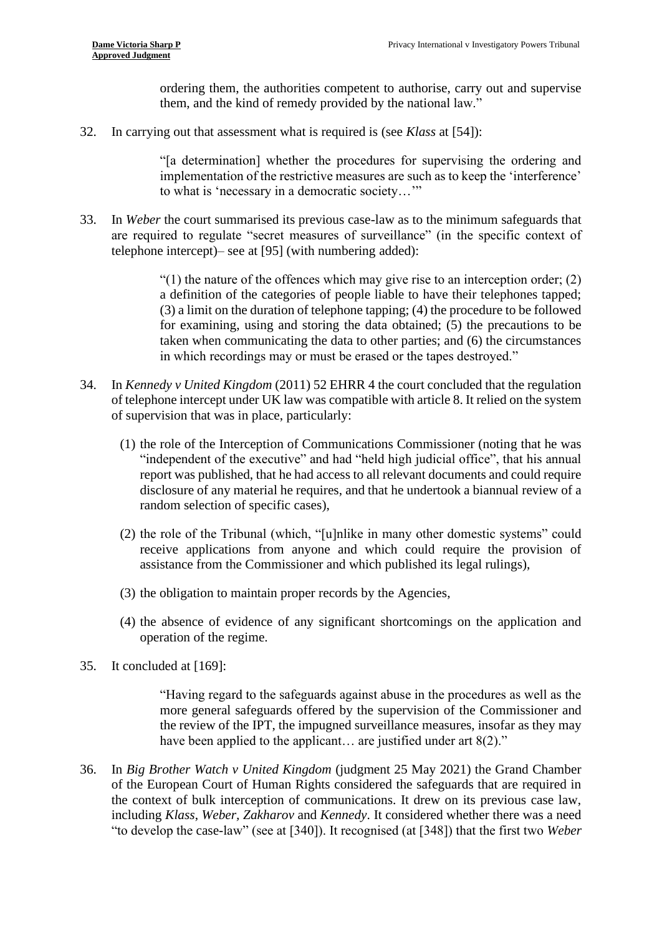ordering them, the authorities competent to authorise, carry out and supervise them, and the kind of remedy provided by the national law."

32. In carrying out that assessment what is required is (see *Klass* at [54]):

"[a determination] whether the procedures for supervising the ordering and implementation of the restrictive measures are such as to keep the 'interference' to what is 'necessary in a democratic society…'"

<span id="page-10-1"></span>33. In *Weber* the court summarised its previous case-law as to the minimum safeguards that are required to regulate "secret measures of surveillance" (in the specific context of telephone intercept)– see at [95] (with numbering added):

> a definition of the categories of people liable to have their telephones tapped; (3) a limit on the duration of telephone tapping; (4) the procedure to be followed taken when communicating the data to other parties; and (6) the circumstances  $(1)$  the nature of the offences which may give rise to an interception order; (2) for examining, using and storing the data obtained; (5) the precautions to be in which recordings may or must be erased or the tapes destroyed."

- 34. In *Kennedy v United Kingdom* (2011) 52 EHRR 4 the court concluded that the regulation of telephone intercept under UK law was compatible with article 8. It relied on the system of supervision that was in place, particularly:
	- (1) the role of the Interception of Communications Commissioner (noting that he was report was published, that he had access to all relevant documents and could require disclosure of any material he requires, and that he undertook a biannual review of a "independent of the executive" and had "held high judicial office", that his annual random selection of specific cases),
	- (2) the role of the Tribunal (which, "[u]nlike in many other domestic systems" could receive applications from anyone and which could require the provision of assistance from the Commissioner and which published its legal rulings),
	- (3) the obligation to maintain proper records by the Agencies,
	- (4) the absence of evidence of any significant shortcomings on the application and operation of the regime.
- 35. It concluded at [169]:

 the review of the IPT, the impugned surveillance measures, insofar as they may "Having regard to the safeguards against abuse in the procedures as well as the more general safeguards offered by the supervision of the Commissioner and have been applied to the applicant... are justified under art 8(2)."

<span id="page-10-0"></span> of the European Court of Human Rights considered the safeguards that are required in the context of bulk interception of communications. It drew on its previous case law, including *Klass*, *Weber, Zakharov* and *Kennedy*. It considered whether there was a need 36. In *Big Brother Watch v United Kingdom* (judgment 25 May 2021) the Grand Chamber "to develop the case-law" (see at [340]). It recognised (at [348]) that the first two *Weber*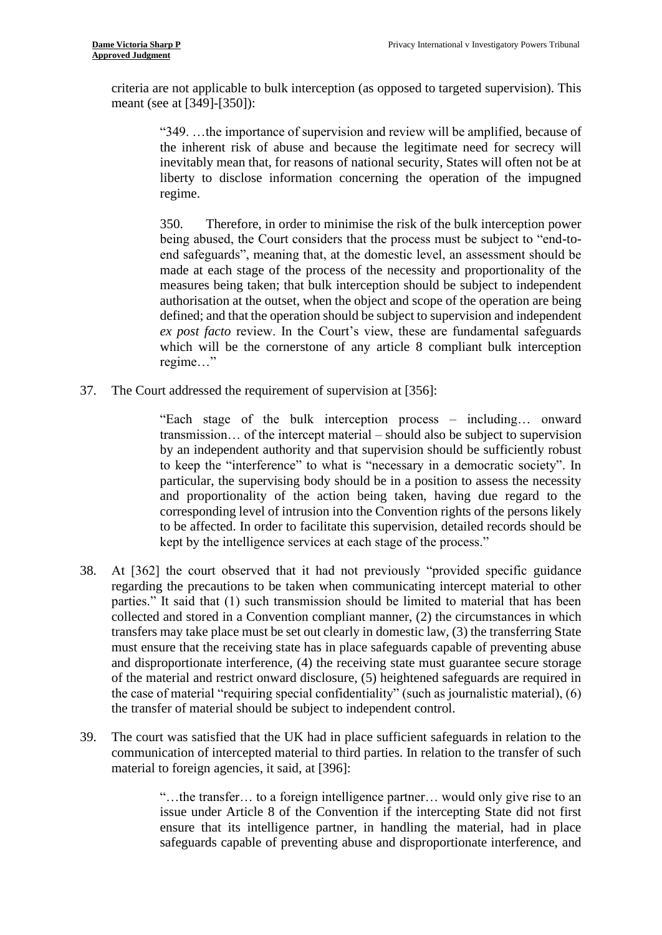criteria are not applicable to bulk interception (as opposed to targeted supervision). This meant (see at [349]-[350]):

> "349. …the importance of supervision and review will be amplified, because of the inherent risk of abuse and because the legitimate need for secrecy will inevitably mean that, for reasons of national security, States will often not be at liberty to disclose information concerning the operation of the impugned regime.

> being abused, the Court considers that the process must be subject to "end-to- made at each stage of the process of the necessity and proportionality of the authorisation at the outset, when the object and scope of the operation are being defined; and that the operation should be subject to supervision and independent ex post facto review. In the Court's view, these are fundamental safeguards which will be the cornerstone of any article 8 compliant bulk interception 350. Therefore, in order to minimise the risk of the bulk interception power end safeguards", meaning that, at the domestic level, an assessment should be measures being taken; that bulk interception should be subject to independent regime…"

37. The Court addressed the requirement of supervision at [356]:

 "Each stage of the bulk interception process – including… onward to keep the "interference" to what is "necessary in a democratic society". In particular, the supervising body should be in a position to assess the necessity and proportionality of the action being taken, having due regard to the corresponding level of intrusion into the Convention rights of the persons likely transmission… of the intercept material – should also be subject to supervision by an independent authority and that supervision should be sufficiently robust to be affected. In order to facilitate this supervision, detailed records should be kept by the intelligence services at each stage of the process."

- <span id="page-11-0"></span> transfers may take place must be set out clearly in domestic law, (3) the transferring State must ensure that the receiving state has in place safeguards capable of preventing abuse and disproportionate interference, (4) the receiving state must guarantee secure storage of the material and restrict onward disclosure, (5) heightened safeguards are required in 38. At [362] the court observed that it had not previously "provided specific guidance regarding the precautions to be taken when communicating intercept material to other parties." It said that (1) such transmission should be limited to material that has been collected and stored in a Convention compliant manner, (2) the circumstances in which the case of material "requiring special confidentiality" (such as journalistic material), (6) the transfer of material should be subject to independent control.
- <span id="page-11-1"></span> 39. The court was satisfied that the UK had in place sufficient safeguards in relation to the communication of intercepted material to third parties. In relation to the transfer of such material to foreign agencies, it said, at [396]:

 issue under Article 8 of the Convention if the intercepting State did not first safeguards capable of preventing abuse and disproportionate interference, and "…the transfer… to a foreign intelligence partner… would only give rise to an ensure that its intelligence partner, in handling the material, had in place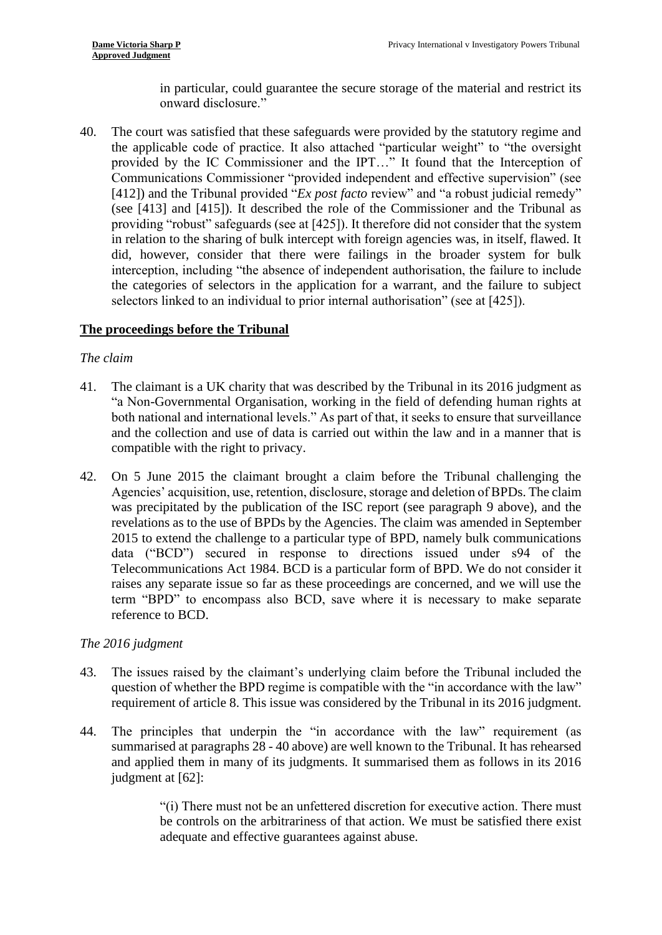in particular, could guarantee the secure storage of the material and restrict its onward disclosure."

<span id="page-12-0"></span> 40. The court was satisfied that these safeguards were provided by the statutory regime and Communications Commissioner "provided independent and effective supervision" (see [412]) and the Tribunal provided "*Ex post facto* review" and "a robust judicial remedy" (see [413] and [415]). It described the role of the Commissioner and the Tribunal as did, however, consider that there were failings in the broader system for bulk interception, including "the absence of independent authorisation, the failure to include the categories of selectors in the application for a warrant, and the failure to subject the applicable code of practice. It also attached "particular weight" to "the oversight provided by the IC Commissioner and the IPT…" It found that the Interception of providing "robust" safeguards (see at [425]). It therefore did not consider that the system in relation to the sharing of bulk intercept with foreign agencies was, in itself, flawed. It selectors linked to an individual to prior internal authorisation" (see at [425]).

#### **The proceedings before the Tribunal**

#### *The claim*

- "a Non-Governmental Organisation, working in the field of defending human rights at and the collection and use of data is carried out within the law and in a manner that is 41. The claimant is a UK charity that was described by the Tribunal in its 2016 judgment as both national and international levels." As part of that, it seeks to ensure that surveillance compatible with the right to privacy.
- 42. On 5 June 2015 the claimant brought a claim before the Tribunal challenging the was precipitated by the publication of the ISC report (see paragraph [9](#page-2-0) above), and the revelations as to the use of BPDs by the Agencies. The claim was amended in September 2015 to extend the challenge to a particular type of BPD, namely bulk communications Telecommunications Act 1984. BCD is a particular form of BPD. We do not consider it raises any separate issue so far as these proceedings are concerned, and we will use the term "BPD" to encompass also BCD, save where it is necessary to make separate Agencies' acquisition, use, retention, disclosure, storage and deletion of BPDs. The claim data ("BCD") secured in response to directions issued under s94 of the reference to BCD.

#### *The 2016 judgment*

- requirement of article 8. This issue was considered by the Tribunal in its 2016 judgment. 43. The issues raised by the claimant's underlying claim before the Tribunal included the question of whether the BPD regime is compatible with the "in accordance with the law"
- summarised at paragraphs [28](#page-9-0)  [40](#page-12-0) above) are well known to the Tribunal. It has rehearsed 44. The principles that underpin the "in accordance with the law" requirement (as and applied them in many of its judgments. It summarised them as follows in its 2016 judgment at [62]:

 "(i) There must not be an unfettered discretion for executive action. There must be controls on the arbitrariness of that action. We must be satisfied there exist adequate and effective guarantees against abuse.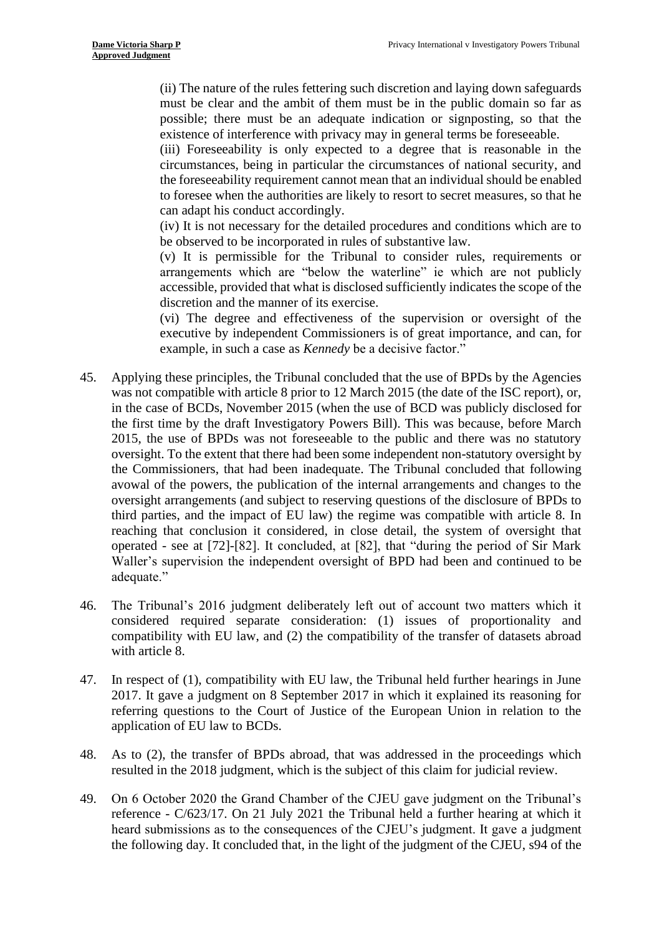(ii) The nature of the rules fettering such discretion and laying down safeguards must be clear and the ambit of them must be in the public domain so far as possible; there must be an adequate indication or signposting, so that the existence of interference with privacy may in general terms be foreseeable.

 (iii) Foreseeability is only expected to a degree that is reasonable in the circumstances, being in particular the circumstances of national security, and the foreseeability requirement cannot mean that an individual should be enabled to foresee when the authorities are likely to resort to secret measures, so that he can adapt his conduct accordingly.

(iv) It is not necessary for the detailed procedures and conditions which are to be observed to be incorporated in rules of substantive law.

 (v) It is permissible for the Tribunal to consider rules, requirements or arrangements which are "below the waterline" ie which are not publicly accessible, provided that what is disclosed sufficiently indicates the scope of the discretion and the manner of its exercise.

 (vi) The degree and effectiveness of the supervision or oversight of the executive by independent Commissioners is of great importance, and can, for example, in such a case as *Kennedy* be a decisive factor."

- was not compatible with article 8 prior to 12 March 2015 (the date of the ISC report), or, in the case of BCDs, November 2015 (when the use of BCD was publicly disclosed for the first time by the draft Investigatory Powers Bill). This was because, before March 2015, the use of BPDs was not foreseeable to the public and there was no statutory oversight arrangements (and subject to reserving questions of the disclosure of BPDs to operated - see at [72]-[82]. It concluded, at [82], that "during the period of Sir Mark 45. Applying these principles, the Tribunal concluded that the use of BPDs by the Agencies oversight. To the extent that there had been some independent non-statutory oversight by the Commissioners, that had been inadequate. The Tribunal concluded that following avowal of the powers, the publication of the internal arrangements and changes to the third parties, and the impact of EU law) the regime was compatible with article 8. In reaching that conclusion it considered, in close detail, the system of oversight that Waller's supervision the independent oversight of BPD had been and continued to be adequate."
- compatibility with EU law, and (2) the compatibility of the transfer of datasets abroad 46. The Tribunal's 2016 judgment deliberately left out of account two matters which it considered required separate consideration: (1) issues of proportionality and with article 8.
- <span id="page-13-0"></span>47. In respect of (1), compatibility with EU law, the Tribunal held further hearings in June 2017. It gave a judgment on 8 September 2017 in which it explained its reasoning for referring questions to the Court of Justice of the European Union in relation to the application of EU law to BCDs.
- 48. As to (2), the transfer of BPDs abroad, that was addressed in the proceedings which resulted in the 2018 judgment, which is the subject of this claim for judicial review.
- <span id="page-13-1"></span> 49. On 6 October 2020 the Grand Chamber of the CJEU gave judgment on the Tribunal's reference - C/623/17. On 21 July 2021 the Tribunal held a further hearing at which it heard submissions as to the consequences of the CJEU's judgment. It gave a judgment the following day. It concluded that, in the light of the judgment of the CJEU, s94 of the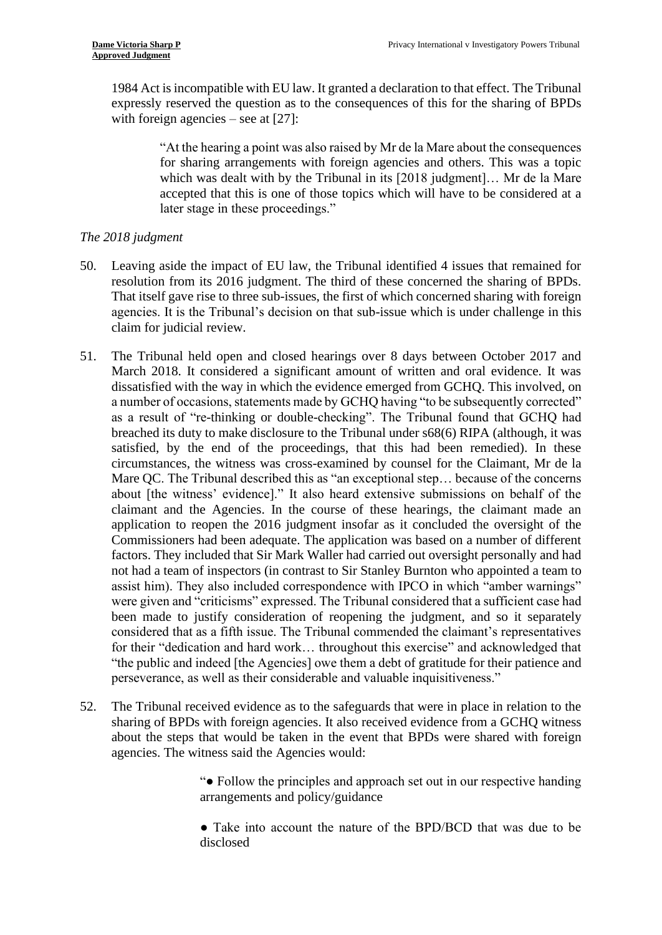1984 Act is incompatible with EU law. It granted a declaration to that effect. The Tribunal expressly reserved the question as to the consequences of this for the sharing of BPDs with foreign agencies – see at [27]:

> "At the hearing a point was also raised by Mr de la Mare about the consequences for sharing arrangements with foreign agencies and others. This was a topic which was dealt with by the Tribunal in its [2018 judgment]… Mr de la Mare accepted that this is one of those topics which will have to be considered at a later stage in these proceedings."

### *The 2018 judgment*

- 50. Leaving aside the impact of EU law, the Tribunal identified 4 issues that remained for That itself gave rise to three sub-issues, the first of which concerned sharing with foreign resolution from its 2016 judgment. The third of these concerned the sharing of BPDs. agencies. It is the Tribunal's decision on that sub-issue which is under challenge in this claim for judicial review.
- a number of occasions, statements made by GCHQ having "to be subsequently corrected" as a result of "re-thinking or double-checking". The Tribunal found that GCHQ had breached its duty to make disclosure to the Tribunal under s68(6) RIPA (although, it was Mare QC. The Tribunal described this as "an exceptional step… because of the concerns about [the witness' evidence]." It also heard extensive submissions on behalf of the claimant and the Agencies. In the course of these hearings, the claimant made an Commissioners had been adequate. The application was based on a number of different considered that as a fifth issue. The Tribunal commended the claimant's representatives for their "dedication and hard work... throughout this exercise" and acknowledged that "the public and indeed [the Agencies] owe them a debt of gratitude for their patience and 51. The Tribunal held open and closed hearings over 8 days between October 2017 and March 2018. It considered a significant amount of written and oral evidence. It was dissatisfied with the way in which the evidence emerged from GCHQ. This involved, on satisfied, by the end of the proceedings, that this had been remedied). In these circumstances, the witness was cross-examined by counsel for the Claimant, Mr de la application to reopen the 2016 judgment insofar as it concluded the oversight of the factors. They included that Sir Mark Waller had carried out oversight personally and had not had a team of inspectors (in contrast to Sir Stanley Burnton who appointed a team to assist him). They also included correspondence with IPCO in which "amber warnings" were given and "criticisms" expressed. The Tribunal considered that a sufficient case had been made to justify consideration of reopening the judgment, and so it separately perseverance, as well as their considerable and valuable inquisitiveness."
- <span id="page-14-0"></span>52. The Tribunal received evidence as to the safeguards that were in place in relation to the sharing of BPDs with foreign agencies. It also received evidence from a GCHQ witness about the steps that would be taken in the event that BPDs were shared with foreign agencies. The witness said the Agencies would:

 "● Follow the principles and approach set out in our respective handing arrangements and policy/guidance

 ● Take into account the nature of the BPD/BCD that was due to be disclosed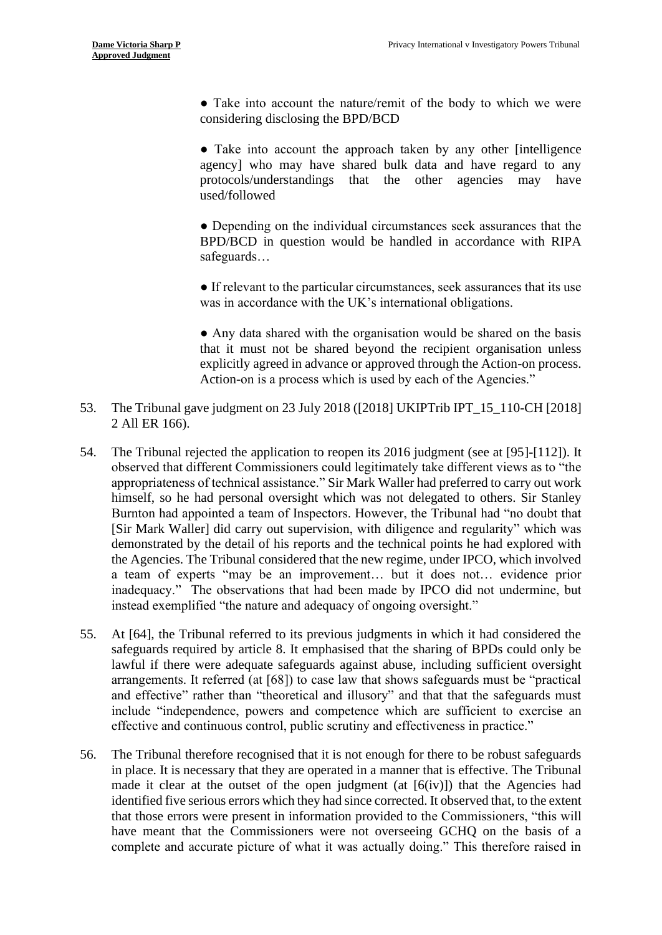● Take into account the nature/remit of the body to which we were considering disclosing the BPD/BCD

 ● Take into account the approach taken by any other [intelligence agency] who may have shared bulk data and have regard to any protocols/understandings that the other agencies may have used/followed

• Depending on the individual circumstances seek assurances that the BPD/BCD in question would be handled in accordance with RIPA safeguards…

● If relevant to the particular circumstances, seek assurances that its use was in accordance with the UK's international obligations.

 that it must not be shared beyond the recipient organisation unless • Any data shared with the organisation would be shared on the basis explicitly agreed in advance or approved through the Action-on process. Action-on is a process which is used by each of the Agencies."

- <span id="page-15-0"></span>53. The Tribunal gave judgment on 23 July 2018 ([2018] UKIPTrib IPT\_15\_110-CH [2018] 2 All ER 166).
- 54. The Tribunal rejected the application to reopen its 2016 judgment (see at [95]-[112]). It [Sir Mark Waller] did carry out supervision, with diligence and regularity" which was demonstrated by the detail of his reports and the technical points he had explored with the Agencies. The Tribunal considered that the new regime, under IPCO, which involved a team of experts "may be an improvement… but it does not… evidence prior inadequacy." The observations that had been made by IPCO did not undermine, but observed that different Commissioners could legitimately take different views as to "the appropriateness of technical assistance." Sir Mark Waller had preferred to carry out work himself, so he had personal oversight which was not delegated to others. Sir Stanley Burnton had appointed a team of Inspectors. However, the Tribunal had "no doubt that instead exemplified "the nature and adequacy of ongoing oversight."
- 55. At [64], the Tribunal referred to its previous judgments in which it had considered the lawful if there were adequate safeguards against abuse, including sufficient oversight arrangements. It referred (at [68]) to case law that shows safeguards must be "practical include "independence, powers and competence which are sufficient to exercise an safeguards required by article 8. It emphasised that the sharing of BPDs could only be and effective" rather than "theoretical and illusory" and that that the safeguards must effective and continuous control, public scrutiny and effectiveness in practice."
- 56. The Tribunal therefore recognised that it is not enough for there to be robust safeguards made it clear at the outset of the open judgment (at [6(iv)]) that the Agencies had have meant that the Commissioners were not overseeing GCHQ on the basis of a complete and accurate picture of what it was actually doing." This therefore raised in in place. It is necessary that they are operated in a manner that is effective. The Tribunal identified five serious errors which they had since corrected. It observed that, to the extent that those errors were present in information provided to the Commissioners, "this will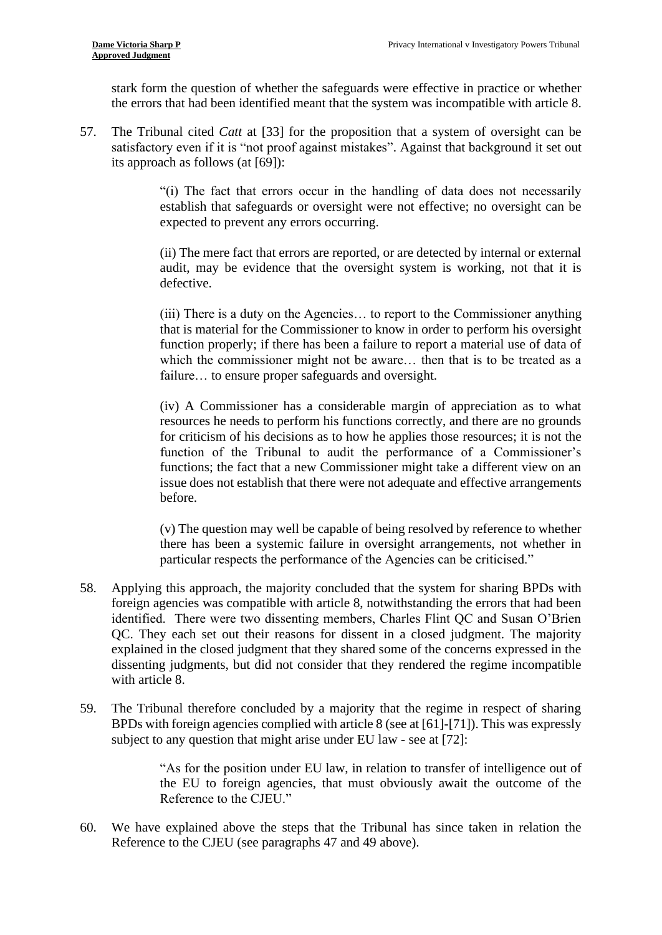stark form the question of whether the safeguards were effective in practice or whether the errors that had been identified meant that the system was incompatible with article 8.

57. The Tribunal cited *Catt* at [33] for the proposition that a system of oversight can be satisfactory even if it is "not proof against mistakes". Against that background it set out its approach as follows (at [69]):

> "(i) The fact that errors occur in the handling of data does not necessarily establish that safeguards or oversight were not effective; no oversight can be expected to prevent any errors occurring.

> (ii) The mere fact that errors are reported, or are detected by internal or external audit, may be evidence that the oversight system is working, not that it is defective.

> (iii) There is a duty on the Agencies… to report to the Commissioner anything that is material for the Commissioner to know in order to perform his oversight function properly; if there has been a failure to report a material use of data of which the commissioner might not be aware… then that is to be treated as a failure… to ensure proper safeguards and oversight.

> (iv) A Commissioner has a considerable margin of appreciation as to what for criticism of his decisions as to how he applies those resources; it is not the function of the Tribunal to audit the performance of a Commissioner's functions; the fact that a new Commissioner might take a different view on an issue does not establish that there were not adequate and effective arrangements resources he needs to perform his functions correctly, and there are no grounds before.

> (v) The question may well be capable of being resolved by reference to whether there has been a systemic failure in oversight arrangements, not whether in particular respects the performance of the Agencies can be criticised."

- identified. There were two dissenting members, Charles Flint QC and Susan O'Brien QC. They each set out their reasons for dissent in a closed judgment. The majority 58. Applying this approach, the majority concluded that the system for sharing BPDs with foreign agencies was compatible with article 8, notwithstanding the errors that had been explained in the closed judgment that they shared some of the concerns expressed in the dissenting judgments, but did not consider that they rendered the regime incompatible with article 8.
- 59. The Tribunal therefore concluded by a majority that the regime in respect of sharing BPDs with foreign agencies complied with article 8 (see at [61]-[71]). This was expressly subject to any question that might arise under EU law - see at [72]:

 "As for the position under EU law, in relation to transfer of intelligence out of the EU to foreign agencies, that must obviously await the outcome of the Reference to the CJEU."

 60. We have explained above the steps that the Tribunal has since taken in relation the Reference to the CJEU (see paragraphs [47](#page-13-0) and [49](#page-13-1) above).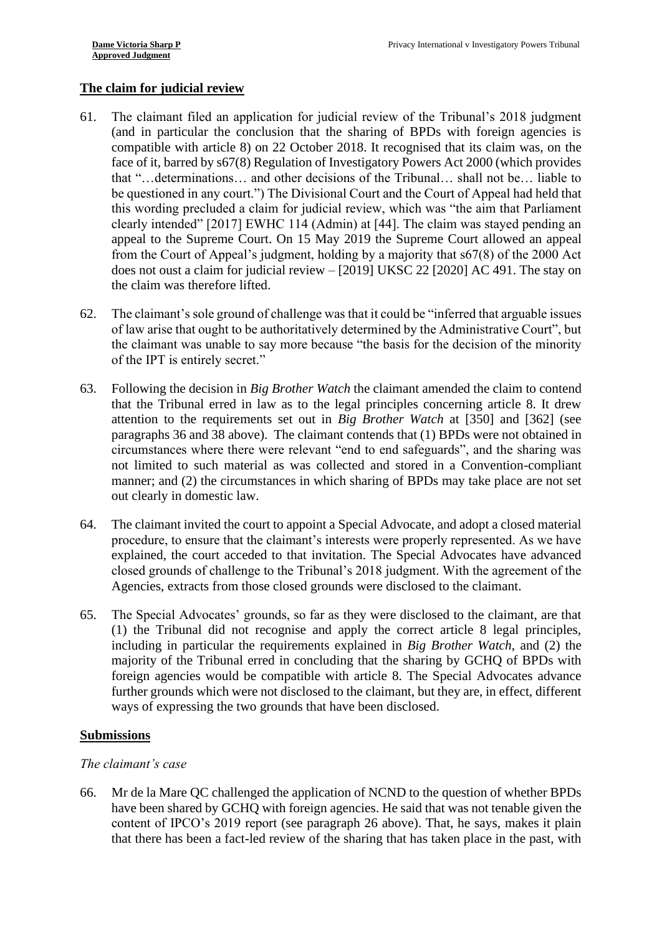## **The claim for judicial review**

- (and in particular the conclusion that the sharing of BPDs with foreign agencies is compatible with article 8) on 22 October 2018. It recognised that its claim was, on the be questioned in any court.") The Divisional Court and the Court of Appeal had held that this wording precluded a claim for judicial review, which was "the aim that Parliament does not oust a claim for judicial review – [2019] UKSC 22 [2020] AC 491. The stay on 61. The claimant filed an application for judicial review of the Tribunal's 2018 judgment face of it, barred by s67(8) Regulation of Investigatory Powers Act 2000 (which provides that "…determinations… and other decisions of the Tribunal… shall not be… liable to clearly intended" [2017] EWHC 114 (Admin) at [44]. The claim was stayed pending an appeal to the Supreme Court. On 15 May 2019 the Supreme Court allowed an appeal from the Court of Appeal's judgment, holding by a majority that s67(8) of the 2000 Act the claim was therefore lifted.
- 62. The claimant's sole ground of challenge was that it could be "inferred that arguable issues of law arise that ought to be authoritatively determined by the Administrative Court", but the claimant was unable to say more because "the basis for the decision of the minority of the IPT is entirely secret."
- <span id="page-17-0"></span> attention to the requirements set out in *Big Brother Watch* at [350] and [362] (see paragraphs [36](#page-10-0) and [38](#page-11-0) above). The claimant contends that (1) BPDs were not obtained in circumstances where there were relevant "end to end safeguards", and the sharing was manner; and (2) the circumstances in which sharing of BPDs may take place are not set 63. Following the decision in *Big Brother Watch* the claimant amended the claim to contend that the Tribunal erred in law as to the legal principles concerning article 8. It drew not limited to such material as was collected and stored in a Convention-compliant out clearly in domestic law.
- 64. The claimant invited the court to appoint a Special Advocate, and adopt a closed material explained, the court acceded to that invitation. The Special Advocates have advanced closed grounds of challenge to the Tribunal's 2018 judgment. With the agreement of the procedure, to ensure that the claimant's interests were properly represented. As we have Agencies, extracts from those closed grounds were disclosed to the claimant.
- 65. The Special Advocates' grounds, so far as they were disclosed to the claimant, are that including in particular the requirements explained in *Big Brother Watch*, and (2) the majority of the Tribunal erred in concluding that the sharing by GCHQ of BPDs with foreign agencies would be compatible with article 8. The Special Advocates advance (1) the Tribunal did not recognise and apply the correct article 8 legal principles, further grounds which were not disclosed to the claimant, but they are, in effect, different ways of expressing the two grounds that have been disclosed.

#### **Submissions**

#### *The claimant's case*

 66. Mr de la Mare QC challenged the application of NCND to the question of whether BPDs content of IPCO's 2019 report (see paragraph [26](#page-8-0) above). That, he says, makes it plain that there has been a fact-led review of the sharing that has taken place in the past, with have been shared by GCHQ with foreign agencies. He said that was not tenable given the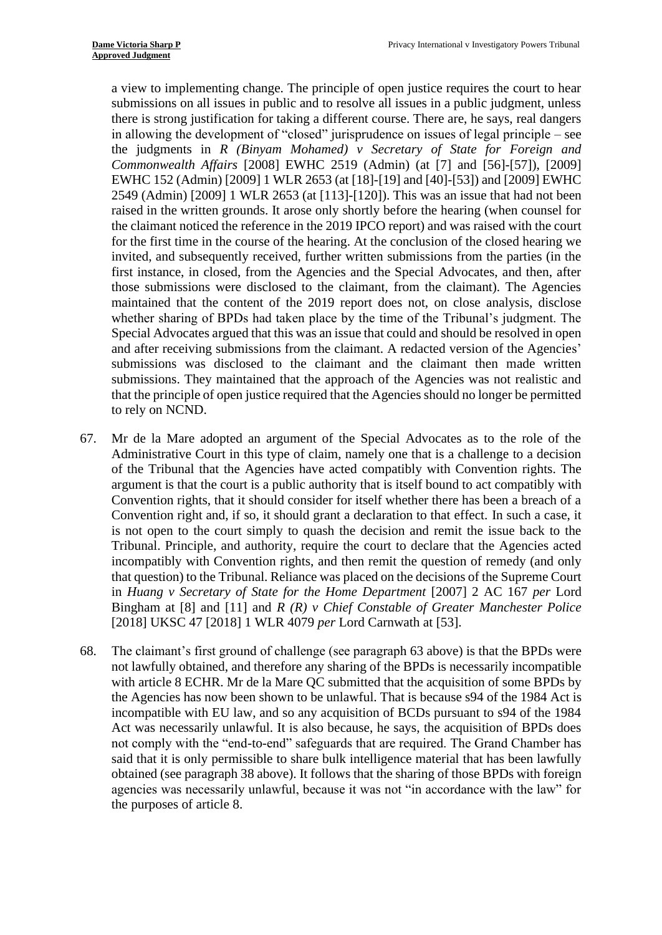a view to implementing change. The principle of open justice requires the court to hear submissions on all issues in public and to resolve all issues in a public judgment, unless there is strong justification for taking a different course. There are, he says, real dangers  the judgments in *R (Binyam Mohamed) v Secretary of State for Foreign and*  EWHC 152 (Admin) [2009] 1 WLR 2653 (at [18]-[19] and [40]-[53]) and [2009] EWHC first instance, in closed, from the Agencies and the Special Advocates, and then, after those submissions were disclosed to the claimant, from the claimant). The Agencies whether sharing of BPDs had taken place by the time of the Tribunal's judgment. The Special Advocates argued that this was an issue that could and should be resolved in open submissions was disclosed to the claimant and the claimant then made written submissions. They maintained that the approach of the Agencies was not realistic and that the principle of open justice required that the Agencies should no longer be permitted in allowing the development of "closed" jurisprudence on issues of legal principle – see *Commonwealth Affairs* [2008] EWHC 2519 (Admin) (at [7] and [56]-[57]), [2009] 2549 (Admin) [2009] 1 WLR 2653 (at [113]-[120]). This was an issue that had not been raised in the written grounds. It arose only shortly before the hearing (when counsel for the claimant noticed the reference in the 2019 IPCO report) and was raised with the court for the first time in the course of the hearing. At the conclusion of the closed hearing we invited, and subsequently received, further written submissions from the parties (in the maintained that the content of the 2019 report does not, on close analysis, disclose and after receiving submissions from the claimant. A redacted version of the Agencies' to rely on NCND.

- <span id="page-18-0"></span> 67. Mr de la Mare adopted an argument of the Special Advocates as to the role of the Administrative Court in this type of claim, namely one that is a challenge to a decision Convention rights, that it should consider for itself whether there has been a breach of a Convention right and, if so, it should grant a declaration to that effect. In such a case, it that question) to the Tribunal. Reliance was placed on the decisions of the Supreme Court  in *Huang v Secretary of State for the Home Department* [2007] 2 AC 167 *per* Lord Bingham at [8] and [11] and *R (R) v Chief Constable of Greater Manchester Police*  of the Tribunal that the Agencies have acted compatibly with Convention rights. The argument is that the court is a public authority that is itself bound to act compatibly with is not open to the court simply to quash the decision and remit the issue back to the Tribunal. Principle, and authority, require the court to declare that the Agencies acted incompatibly with Convention rights, and then remit the question of remedy (and only [2018] UKSC 47 [2018] 1 WLR 4079 *per* Lord Carnwath at [53].
- with article 8 ECHR. Mr de la Mare QC submitted that the acquisition of some BPDs by the Agencies has now been shown to be unlawful. That is because s94 of the 1984 Act is incompatible with EU law, and so any acquisition of BCDs pursuant to s94 of the 1984 said that it is only permissible to share bulk intelligence material that has been lawfully obtained (see paragraph [38](#page-11-0) above). It follows that the sharing of those BPDs with foreign agencies was necessarily unlawful, because it was not "in accordance with the law" for 68. The claimant's first ground of challenge (see paragraph [63](#page-17-0) above) is that the BPDs were not lawfully obtained, and therefore any sharing of the BPDs is necessarily incompatible Act was necessarily unlawful. It is also because, he says, the acquisition of BPDs does not comply with the "end-to-end" safeguards that are required. The Grand Chamber has the purposes of article 8.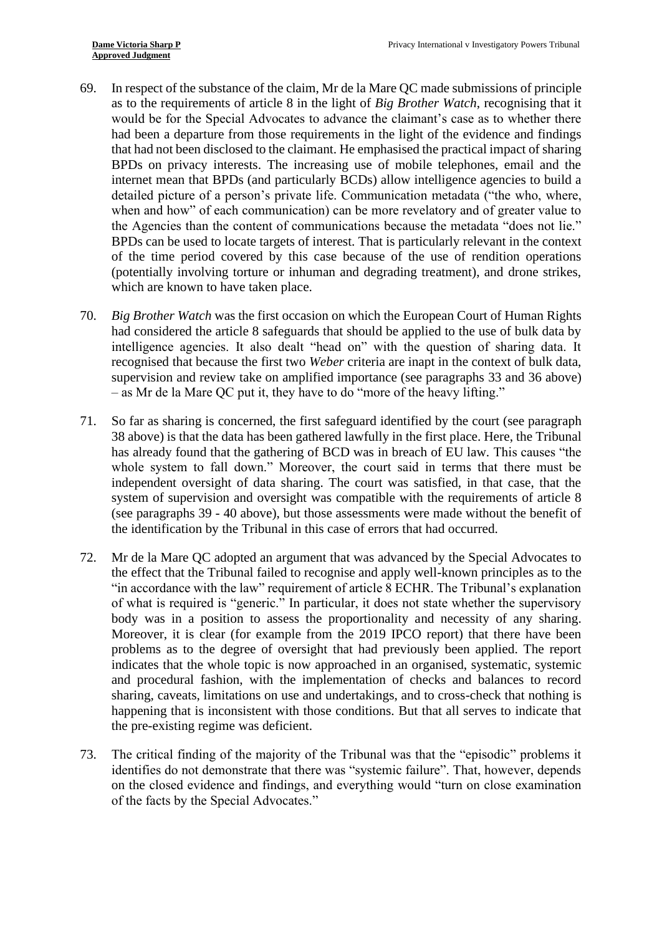- 69. In respect of the substance of the claim, Mr de la Mare QC made submissions of principle would be for the Special Advocates to advance the claimant's case as to whether there had been a departure from those requirements in the light of the evidence and findings detailed picture of a person's private life. Communication metadata ("the who, where, when and how" of each communication) can be more revelatory and of greater value to the Agencies than the content of communications because the metadata "does not lie." of the time period covered by this case because of the use of rendition operations (potentially involving torture or inhuman and degrading treatment), and drone strikes, as to the requirements of article 8 in the light of *Big Brother Watch*, recognising that it that had not been disclosed to the claimant. He emphasised the practical impact of sharing BPDs on privacy interests. The increasing use of mobile telephones, email and the internet mean that BPDs (and particularly BCDs) allow intelligence agencies to build a BPDs can be used to locate targets of interest. That is particularly relevant in the context which are known to have taken place.
- had considered the article 8 safeguards that should be applied to the use of bulk data by intelligence agencies. It also dealt "head on" with the question of sharing data. It supervision and review take on amplified importance (see paragraphs [33](#page-10-1) and [36](#page-10-0) above) 70. *Big Brother Watch* was the first occasion on which the European Court of Human Rights recognised that because the first two *Weber* criteria are inapt in the context of bulk data, – as Mr de la Mare QC put it, they have to do "more of the heavy lifting."
- has already found that the gathering of BCD was in breach of EU law. This causes "the whole system to fall down." Moreover, the court said in terms that there must be (see paragraphs [39](#page-11-1) - [40](#page-12-0) above), but those assessments were made without the benefit of 71. So far as sharing is concerned, the first safeguard identified by the court (see paragraph [38](#page-11-0) above) is that the data has been gathered lawfully in the first place. Here, the Tribunal independent oversight of data sharing. The court was satisfied, in that case, that the system of supervision and oversight was compatible with the requirements of article 8 the identification by the Tribunal in this case of errors that had occurred.
- 72. Mr de la Mare QC adopted an argument that was advanced by the Special Advocates to "in accordance with the law" requirement of article 8 ECHR. The Tribunal's explanation of what is required is "generic." In particular, it does not state whether the supervisory Moreover, it is clear (for example from the 2019 IPCO report) that there have been indicates that the whole topic is now approached in an organised, systematic, systemic sharing, caveats, limitations on use and undertakings, and to cross-check that nothing is happening that is inconsistent with those conditions. But that all serves to indicate that the effect that the Tribunal failed to recognise and apply well-known principles as to the body was in a position to assess the proportionality and necessity of any sharing. problems as to the degree of oversight that had previously been applied. The report and procedural fashion, with the implementation of checks and balances to record the pre-existing regime was deficient.
- 73. The critical finding of the majority of the Tribunal was that the "episodic" problems it identifies do not demonstrate that there was "systemic failure". That, however, depends on the closed evidence and findings, and everything would "turn on close examination of the facts by the Special Advocates."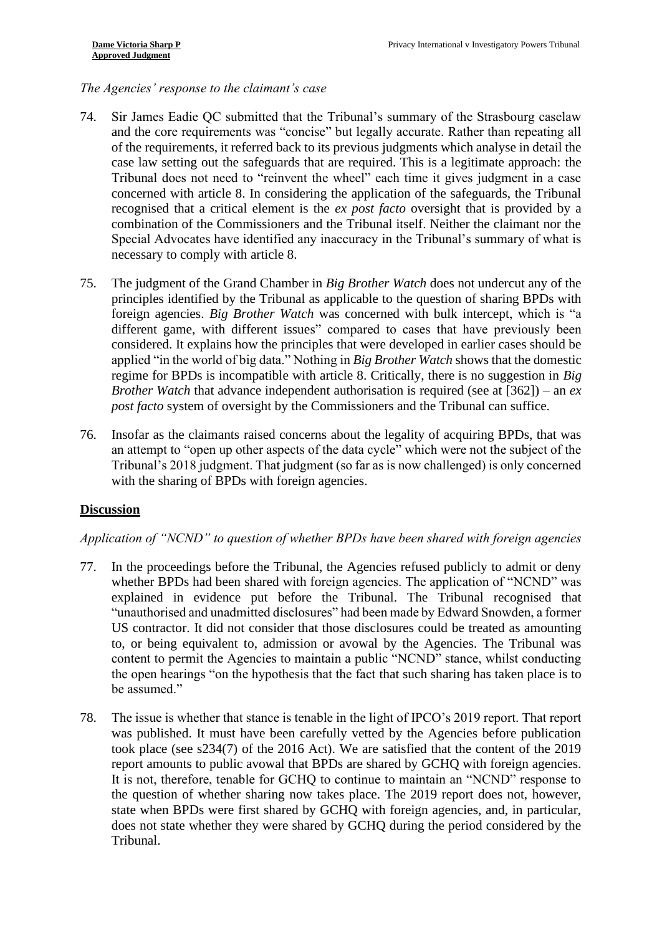## *The Agencies' response to the claimant's case*

- and the core requirements was "concise" but legally accurate. Rather than repeating all of the requirements, it referred back to its previous judgments which analyse in detail the case law setting out the safeguards that are required. This is a legitimate approach: the Tribunal does not need to "reinvent the wheel" each time it gives judgment in a case recognised that a critical element is the *ex post facto* oversight that is provided by a 74. Sir James Eadie QC submitted that the Tribunal's summary of the Strasbourg caselaw concerned with article 8. In considering the application of the safeguards, the Tribunal combination of the Commissioners and the Tribunal itself. Neither the claimant nor the Special Advocates have identified any inaccuracy in the Tribunal's summary of what is necessary to comply with article 8.
- different game, with different issues" compared to cases that have previously been regime for BPDs is incompatible with article 8. Critically, there is no suggestion in *Big Brother Watch* that advance independent authorisation is required (see at [362]) – an *ex*  75. The judgment of the Grand Chamber in *Big Brother Watch* does not undercut any of the principles identified by the Tribunal as applicable to the question of sharing BPDs with foreign agencies. *Big Brother Watch* was concerned with bulk intercept, which is "a considered. It explains how the principles that were developed in earlier cases should be applied "in the world of big data." Nothing in *Big Brother Watch* shows that the domestic *post facto* system of oversight by the Commissioners and the Tribunal can suffice.
- an attempt to "open up other aspects of the data cycle" which were not the subject of the 76. Insofar as the claimants raised concerns about the legality of acquiring BPDs, that was Tribunal's 2018 judgment. That judgment (so far as is now challenged) is only concerned with the sharing of BPDs with foreign agencies.

#### **Discussion**

#### *Application of "NCND" to question of whether BPDs have been shared with foreign agencies*

- 77. In the proceedings before the Tribunal, the Agencies refused publicly to admit or deny "unauthorised and unadmitted disclosures" had been made by Edward Snowden, a former content to permit the Agencies to maintain a public "NCND" stance, whilst conducting the open hearings "on the hypothesis that the fact that such sharing has taken place is to whether BPDs had been shared with foreign agencies. The application of "NCND" was explained in evidence put before the Tribunal. The Tribunal recognised that US contractor. It did not consider that those disclosures could be treated as amounting to, or being equivalent to, admission or avowal by the Agencies. The Tribunal was be assumed."
- 78. The issue is whether that stance is tenable in the light of IPCO's 2019 report. That report was published. It must have been carefully vetted by the Agencies before publication took place (see s234(7) of the 2016 Act). We are satisfied that the content of the 2019 It is not, therefore, tenable for GCHQ to continue to maintain an "NCND" response to the question of whether sharing now takes place. The 2019 report does not, however, does not state whether they were shared by GCHQ during the period considered by the report amounts to public avowal that BPDs are shared by GCHQ with foreign agencies. state when BPDs were first shared by GCHQ with foreign agencies, and, in particular, Tribunal.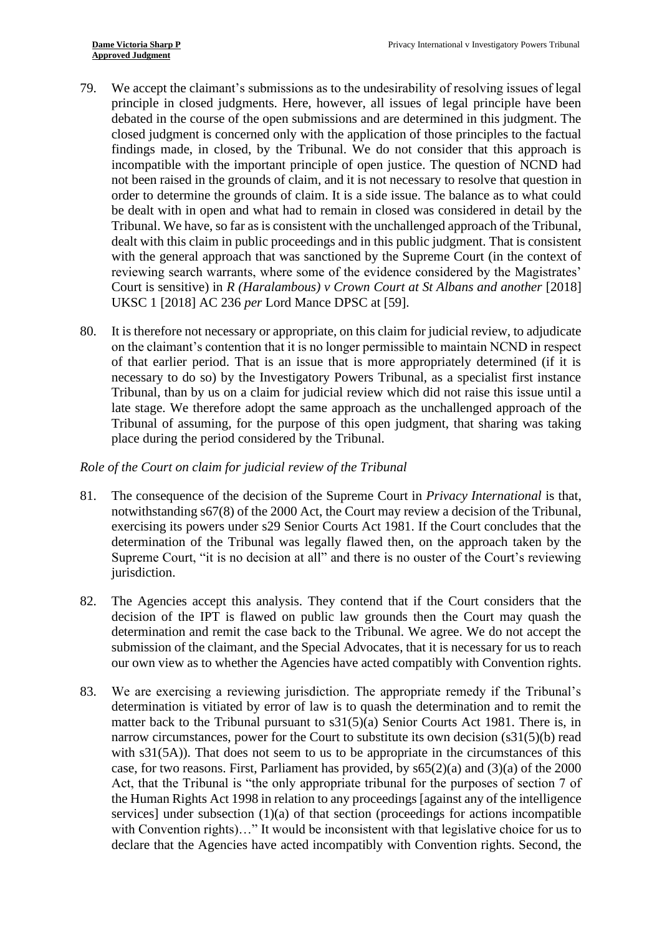- principle in closed judgments. Here, however, all issues of legal principle have been debated in the course of the open submissions and are determined in this judgment. The incompatible with the important principle of open justice. The question of NCND had order to determine the grounds of claim. It is a side issue. The balance as to what could be dealt with in open and what had to remain in closed was considered in detail by the dealt with this claim in public proceedings and in this public judgment. That is consistent Court is sensitive) in *R* (*Haralambous*) *v* Crown Court at *St Albans and another* [2018] 79. We accept the claimant's submissions as to the undesirability of resolving issues of legal closed judgment is concerned only with the application of those principles to the factual findings made, in closed, by the Tribunal. We do not consider that this approach is not been raised in the grounds of claim, and it is not necessary to resolve that question in Tribunal. We have, so far as is consistent with the unchallenged approach of the Tribunal, with the general approach that was sanctioned by the Supreme Court (in the context of reviewing search warrants, where some of the evidence considered by the Magistrates' UKSC 1 [2018] AC 236 *per* Lord Mance DPSC at [59].
- on the claimant's contention that it is no longer permissible to maintain NCND in respect of that earlier period. That is an issue that is more appropriately determined (if it is necessary to do so) by the Investigatory Powers Tribunal, as a specialist first instance Tribunal, than by us on a claim for judicial review which did not raise this issue until a late stage. We therefore adopt the same approach as the unchallenged approach of the Tribunal of assuming, for the purpose of this open judgment, that sharing was taking 80. It is therefore not necessary or appropriate, on this claim for judicial review, to adjudicate place during the period considered by the Tribunal.

#### *Role of the Court on claim for judicial review of the Tribunal*

- notwithstanding s67(8) of the 2000 Act, the Court may review a decision of the Tribunal, Supreme Court, "it is no decision at all" and there is no ouster of the Court's reviewing 81. The consequence of the decision of the Supreme Court in *Privacy International* is that, exercising its powers under s29 Senior Courts Act 1981. If the Court concludes that the determination of the Tribunal was legally flawed then, on the approach taken by the jurisdiction.
- determination and remit the case back to the Tribunal. We agree. We do not accept the our own view as to whether the Agencies have acted compatibly with Convention rights. 82. The Agencies accept this analysis. They contend that if the Court considers that the decision of the IPT is flawed on public law grounds then the Court may quash the submission of the claimant, and the Special Advocates, that it is necessary for us to reach
- 83. We are exercising a reviewing jurisdiction. The appropriate remedy if the Tribunal's determination is vitiated by error of law is to quash the determination and to remit the matter back to the Tribunal pursuant to s31(5)(a) Senior Courts Act 1981. There is, in with s31(5A)). That does not seem to us to be appropriate in the circumstances of this Act, that the Tribunal is "the only appropriate tribunal for the purposes of section 7 of the Human Rights Act 1998 in relation to any proceedings [against any of the intelligence with Convention rights)…" It would be inconsistent with that legislative choice for us to declare that the Agencies have acted incompatibly with Convention rights. Second, the narrow circumstances, power for the Court to substitute its own decision (s31(5)(b) read case, for two reasons. First, Parliament has provided, by s65(2)(a) and (3)(a) of the 2000 services] under subsection (1)(a) of that section (proceedings for actions incompatible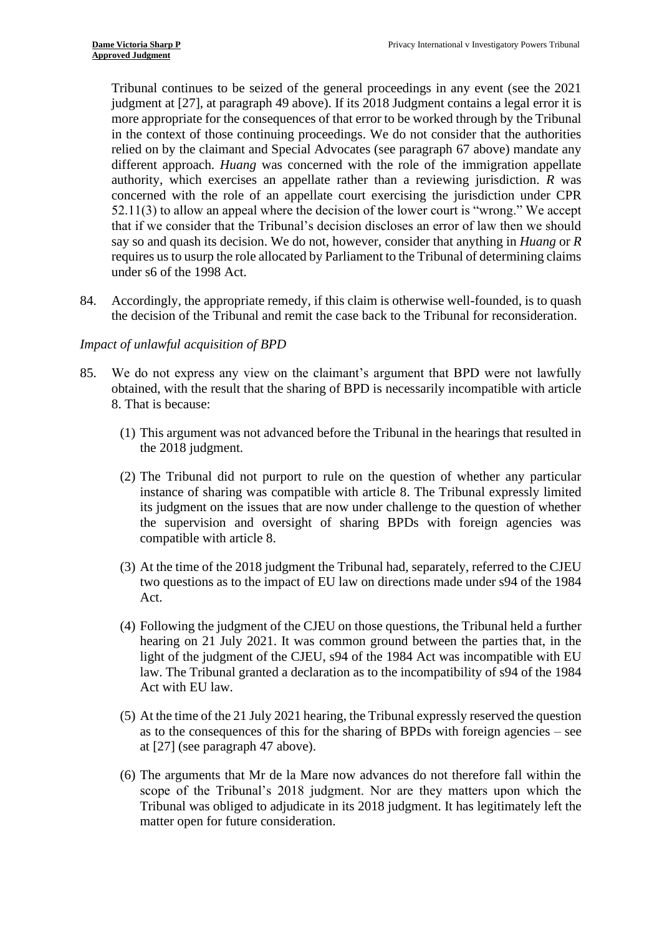judgment at [27], at paragraph 49 above). If its 2018 Judgment contains a legal error it is more appropriate for the consequences of that error to be worked through by the Tribunal 52.11(3) to allow an appeal where the decision of the lower court is "wrong." We accept that if we consider that the Tribunal's decision discloses an error of law then we should requires us to usurp the role allocated by Parliament to the Tribunal of determining claims Tribunal continues to be seized of the general proceedings in any event (see the 2021 in the context of those continuing proceedings. We do not consider that the authorities relied on by the claimant and Special Advocates (see paragraph [67](#page-18-0) above) mandate any different approach. *Huang* was concerned with the role of the immigration appellate authority, which exercises an appellate rather than a reviewing jurisdiction. *R* was concerned with the role of an appellate court exercising the jurisdiction under CPR say so and quash its decision. We do not, however, consider that anything in *Huang* or *R*  under s6 of the 1998 Act.

84. Accordingly, the appropriate remedy, if this claim is otherwise well-founded, is to quash the decision of the Tribunal and remit the case back to the Tribunal for reconsideration.

### *Impact of unlawful acquisition of BPD*

- 85. We do not express any view on the claimant's argument that BPD were not lawfully obtained, with the result that the sharing of BPD is necessarily incompatible with article 8. That is because:
	- (1) This argument was not advanced before the Tribunal in the hearings that resulted in the 2018 judgment.
	- (2) The Tribunal did not purport to rule on the question of whether any particular instance of sharing was compatible with article 8. The Tribunal expressly limited its judgment on the issues that are now under challenge to the question of whether the supervision and oversight of sharing BPDs with foreign agencies was compatible with article 8.
	- two questions as to the impact of EU law on directions made under s94 of the 1984 (3) At the time of the 2018 judgment the Tribunal had, separately, referred to the CJEU Act.
	- (4) Following the judgment of the CJEU on those questions, the Tribunal held a further hearing on 21 July 2021. It was common ground between the parties that, in the light of the judgment of the CJEU, s94 of the 1984 Act was incompatible with EU law. The Tribunal granted a declaration as to the incompatibility of s94 of the 1984 Act with EU law.
	- (5) At the time of the 21 July 2021 hearing, the Tribunal expressly reserved the question as to the consequences of this for the sharing of BPDs with foreign agencies – see at [27] (see paragraph [47](#page-13-0) above).
	- (6) The arguments that Mr de la Mare now advances do not therefore fall within the scope of the Tribunal's 2018 judgment. Nor are they matters upon which the matter open for future consideration. Tribunal was obliged to adjudicate in its 2018 judgment. It has legitimately left the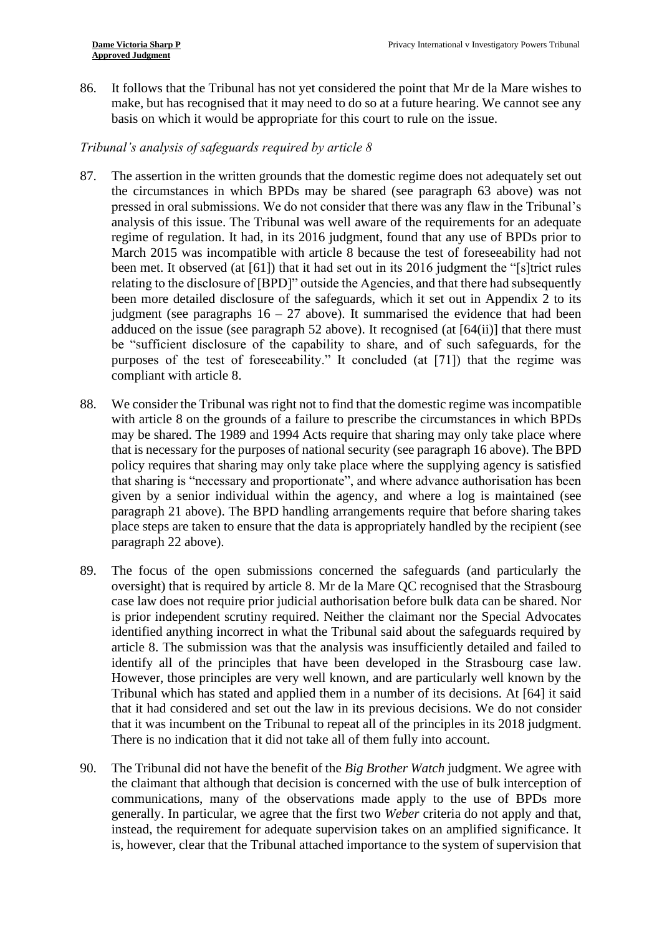86. It follows that the Tribunal has not yet considered the point that Mr de la Mare wishes to make, but has recognised that it may need to do so at a future hearing. We cannot see any basis on which it would be appropriate for this court to rule on the issue.

# *Tribunal's analysis of safeguards required by article 8*

- 87. The assertion in the written grounds that the domestic regime does not adequately set out analysis of this issue. The Tribunal was well aware of the requirements for an adequate regime of regulation. It had, in its 2016 judgment, found that any use of BPDs prior to March 2015 was incompatible with article 8 because the test of foreseeability had not been met. It observed (at [61]) that it had set out in its 2016 judgment the "[s]trict rules relating to the disclosure of [BPD]" outside the Agencies, and that there had subsequently been more detailed disclosure of the safeguards, which it set out in Appendix 2 to its adduced on the issue (see paragraph [52](#page-14-0) above). It recognised (at [64(ii)] that there must be "sufficient disclosure of the capability to share, and of such safeguards, for the purposes of the test of foreseeability." It concluded (at [71]) that the regime was the circumstances in which BPDs may be shared (see paragraph [63](#page-17-0) above) was not pressed in oral submissions. We do not consider that there was any flaw in the Tribunal's judgment (see paragraphs  $16 - 27$  above). It summarised the evidence that had been compliant with article 8.
- 88. We consider the Tribunal was right not to find that the domestic regime was incompatible with article 8 on the grounds of a failure to prescribe the circumstances in which BPDs may be shared. The 1989 and 1994 Acts require that sharing may only take place where policy requires that sharing may only take place where the supplying agency is satisfied that sharing is "necessary and proportionate", and where advance authorisation has been given by a senior individual within the agency, and where a log is maintained (see paragraph [21](#page-6-0) above). The BPD handling arrangements require that before sharing takes place steps are taken to ensure that the data is appropriately handled by the recipient (see that is necessary for the purposes of national security (see paragraph [16](#page-5-0) above). The BPD paragraph [22](#page-6-1) above).
- 89. The focus of the open submissions concerned the safeguards (and particularly the case law does not require prior judicial authorisation before bulk data can be shared. Nor article 8. The submission was that the analysis was insufficiently detailed and failed to identify all of the principles that have been developed in the Strasbourg case law. However, those principles are very well known, and are particularly well known by the Tribunal which has stated and applied them in a number of its decisions. At [64] it said oversight) that is required by article 8. Mr de la Mare QC recognised that the Strasbourg is prior independent scrutiny required. Neither the claimant nor the Special Advocates identified anything incorrect in what the Tribunal said about the safeguards required by that it had considered and set out the law in its previous decisions. We do not consider that it was incumbent on the Tribunal to repeat all of the principles in its 2018 judgment. There is no indication that it did not take all of them fully into account.
- 90. The Tribunal did not have the benefit of the *Big Brother Watch* judgment. We agree with communications, many of the observations made apply to the use of BPDs more generally. In particular, we agree that the first two *Weber* criteria do not apply and that, the claimant that although that decision is concerned with the use of bulk interception of instead, the requirement for adequate supervision takes on an amplified significance. It is, however, clear that the Tribunal attached importance to the system of supervision that